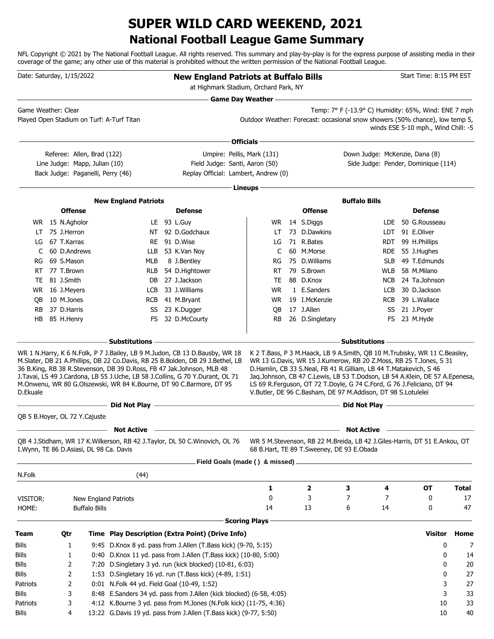### **National Football League Game Summary SUPER WILD CARD WEEKEND, 2021**

NFL Copyright © 2021 by The National Football League. All rights reserved. This summary and play-by-play is for the express purpose of assisting media in their coverage of the game; any other use of this material is prohibited without the written permission of the National Football League.

| Date: Saturday, 1/15/2022               |                 |                                                             |                                             | <b>New England Patriots at Buffalo Bills</b>                                                                                                                                                                                                                                                                                                                                                                                                                                      | at Highmark Stadium, Orchard Park, NY                                        |                                           |                                                                                                                                                                                                                                                                                                                                                                                                                                                               |            | Start Time: 8:15 PM EST             |              |
|-----------------------------------------|-----------------|-------------------------------------------------------------|---------------------------------------------|-----------------------------------------------------------------------------------------------------------------------------------------------------------------------------------------------------------------------------------------------------------------------------------------------------------------------------------------------------------------------------------------------------------------------------------------------------------------------------------|------------------------------------------------------------------------------|-------------------------------------------|---------------------------------------------------------------------------------------------------------------------------------------------------------------------------------------------------------------------------------------------------------------------------------------------------------------------------------------------------------------------------------------------------------------------------------------------------------------|------------|-------------------------------------|--------------|
|                                         |                 |                                                             |                                             |                                                                                                                                                                                                                                                                                                                                                                                                                                                                                   | Game Day Weather -                                                           |                                           |                                                                                                                                                                                                                                                                                                                                                                                                                                                               |            |                                     |              |
| Game Weather: Clear                     |                 |                                                             | Played Open Stadium on Turf: A-Turf Titan   |                                                                                                                                                                                                                                                                                                                                                                                                                                                                                   | Outdoor Weather: Forecast: occasional snow showers (50% chance), low temp 5, |                                           | Temp: 7° F (-13.9° C) Humidity: 65%, Wind: ENE 7 mph                                                                                                                                                                                                                                                                                                                                                                                                          |            | winds ESE 5-10 mph., Wind Chill: -5 |              |
|                                         |                 |                                                             |                                             |                                                                                                                                                                                                                                                                                                                                                                                                                                                                                   | Officials -                                                                  |                                           |                                                                                                                                                                                                                                                                                                                                                                                                                                                               |            |                                     |              |
|                                         |                 | Referee: Allen, Brad (122)<br>Line Judge: Mapp, Julian (10) | Back Judge: Paganelli, Perry (46)           | Replay Official: Lambert, Andrew (0)                                                                                                                                                                                                                                                                                                                                                                                                                                              | Umpire: Pellis, Mark (131)<br>Field Judge: Santi, Aaron (50)                 |                                           | Down Judge: McKenzie, Dana (8)                                                                                                                                                                                                                                                                                                                                                                                                                                |            | Side Judge: Pender, Dominique (114) |              |
|                                         |                 |                                                             |                                             |                                                                                                                                                                                                                                                                                                                                                                                                                                                                                   | Lineups-                                                                     |                                           |                                                                                                                                                                                                                                                                                                                                                                                                                                                               |            |                                     |              |
|                                         |                 |                                                             | <b>New England Patriots</b>                 |                                                                                                                                                                                                                                                                                                                                                                                                                                                                                   |                                                                              |                                           | <b>Buffalo Bills</b>                                                                                                                                                                                                                                                                                                                                                                                                                                          |            |                                     |              |
|                                         | <b>Offense</b>  |                                                             |                                             | <b>Defense</b>                                                                                                                                                                                                                                                                                                                                                                                                                                                                    |                                                                              | <b>Offense</b>                            |                                                                                                                                                                                                                                                                                                                                                                                                                                                               |            | <b>Defense</b>                      |              |
|                                         | WR 15 N.Agholor |                                                             |                                             | LE 93 L.Guy                                                                                                                                                                                                                                                                                                                                                                                                                                                                       | WR.                                                                          | 14 S.Diggs                                |                                                                                                                                                                                                                                                                                                                                                                                                                                                               | LDE.       | 50 G.Rousseau                       |              |
| LT                                      | 75 J.Herron     |                                                             |                                             | NT 92 D.Godchaux                                                                                                                                                                                                                                                                                                                                                                                                                                                                  | LT                                                                           | 73 D.Dawkins                              |                                                                                                                                                                                                                                                                                                                                                                                                                                                               |            | LDT 91 E.Oliver                     |              |
| LG                                      | 67 T.Karras     |                                                             |                                             | RE 91 D.Wise                                                                                                                                                                                                                                                                                                                                                                                                                                                                      | LG                                                                           | 71 R.Bates                                |                                                                                                                                                                                                                                                                                                                                                                                                                                                               |            | RDT 99 H.Phillips                   |              |
| C                                       | 60 D.Andrews    |                                                             | LLB                                         | 53 K.Van Noy                                                                                                                                                                                                                                                                                                                                                                                                                                                                      | C                                                                            | 60 M.Morse                                |                                                                                                                                                                                                                                                                                                                                                                                                                                                               |            | RDE 55 J.Hughes                     |              |
| RG                                      | 69 S.Mason      |                                                             | MLB                                         | 8 J.Bentley                                                                                                                                                                                                                                                                                                                                                                                                                                                                       | RG                                                                           | 75 D.Williams                             |                                                                                                                                                                                                                                                                                                                                                                                                                                                               | <b>SLB</b> | 49 T.Edmunds                        |              |
| RT                                      | 77 T.Brown      |                                                             | <b>RLB</b>                                  | 54 D.Hightower                                                                                                                                                                                                                                                                                                                                                                                                                                                                    | RT                                                                           | 79 S.Brown                                |                                                                                                                                                                                                                                                                                                                                                                                                                                                               | <b>WLB</b> | 58 M.Milano                         |              |
| TE                                      | 81 J.Smith      |                                                             |                                             | DB 27 J.Jackson                                                                                                                                                                                                                                                                                                                                                                                                                                                                   | TE                                                                           | 88 D.Knox                                 |                                                                                                                                                                                                                                                                                                                                                                                                                                                               |            | NCB 24 Ta.Johnson                   |              |
| WR                                      | 16 J.Meyers     |                                                             | LCB                                         | 33 J.Williams                                                                                                                                                                                                                                                                                                                                                                                                                                                                     | <b>WR</b>                                                                    | 1 E.Sanders                               |                                                                                                                                                                                                                                                                                                                                                                                                                                                               | LCB        | 30 D.Jackson                        |              |
| OB.                                     | 10 M.Jones      |                                                             |                                             | RCB 41 M.Bryant                                                                                                                                                                                                                                                                                                                                                                                                                                                                   | WR.                                                                          | 19 I.McKenzie                             |                                                                                                                                                                                                                                                                                                                                                                                                                                                               | <b>RCB</b> | 39 L.Wallace                        |              |
| <b>RB</b>                               | 37 D.Harris     |                                                             |                                             | SS 23 K.Dugger                                                                                                                                                                                                                                                                                                                                                                                                                                                                    | QB                                                                           | 17 J.Allen                                |                                                                                                                                                                                                                                                                                                                                                                                                                                                               | SS         | 21 J.Poyer                          |              |
| HB                                      | 85 H.Henry      |                                                             |                                             | FS 32 D.McCourty                                                                                                                                                                                                                                                                                                                                                                                                                                                                  | RB                                                                           | 26 D.Singletary                           |                                                                                                                                                                                                                                                                                                                                                                                                                                                               |            | FS 23 M.Hyde                        |              |
|                                         |                 |                                                             | – Substitutions –                           |                                                                                                                                                                                                                                                                                                                                                                                                                                                                                   |                                                                              |                                           | Substitutions –                                                                                                                                                                                                                                                                                                                                                                                                                                               |            |                                     |              |
| D.Ekuale                                |                 |                                                             | - Did Not Play—                             | WR 1 N.Harry, K 6 N.Folk, P 7 J.Bailey, LB 9 M.Judon, CB 13 D.Bausby, WR 18<br>M.Slater, DB 21 A.Phillips, DB 22 Co.Davis, RB 25 B.Bolden, DB 29 J.Bethel, LB<br>36 B.King, RB 38 R.Stevenson, DB 39 D.Ross, FB 47 Jak.Johnson, MLB 48<br>J. Tavai, LS 49 J. Cardona, LB 55 J. Uche, LB 58 J. Collins, G 70 Y. Durant, OL 71<br>M.Onwenu, WR 80 G.Olszewski, WR 84 K.Bourne, DT 90 C.Barmore, DT 95<br>the control of the control of the control of the control of the control of |                                                                              |                                           | K 2 T.Bass, P 3 M.Haack, LB 9 A.Smith, QB 10 M.Trubisky, WR 11 C.Beasley,<br>WR 13 G.Davis, WR 15 J.Kumerow, RB 20 Z.Moss, RB 25 T.Jones, S 31<br>D.Hamlin, CB 33 S.Neal, FB 41 R.Gilliam, LB 44 T.Matakevich, S 46<br>Jaq.Johnson, CB 47 C.Lewis, LB 53 T.Dodson, LB 54 A.Klein, DE 57 A.Epenesa,<br>LS 69 R.Ferguson, OT 72 T.Doyle, G 74 C.Ford, G 76 J.Feliciano, DT 94<br>V.Butler, DE 96 C.Basham, DE 97 M.Addison, DT 98 S.Lotulelei<br>Did Not Play - |            |                                     |              |
| QB 5 B.Hoyer, OL 72 Y.Cajuste           |                 |                                                             |                                             |                                                                                                                                                                                                                                                                                                                                                                                                                                                                                   |                                                                              |                                           |                                                                                                                                                                                                                                                                                                                                                                                                                                                               |            |                                     |              |
|                                         |                 |                                                             | <b>Not Active</b>                           |                                                                                                                                                                                                                                                                                                                                                                                                                                                                                   |                                                                              |                                           | <b>Not Active</b>                                                                                                                                                                                                                                                                                                                                                                                                                                             |            |                                     |              |
| I.Wynn, TE 86 D.Asiasi, DL 98 Ca. Davis |                 |                                                             |                                             | QB 4 J.Stidham, WR 17 K.Wilkerson, RB 42 J.Taylor, DL 50 C.Winovich, OL 76                                                                                                                                                                                                                                                                                                                                                                                                        |                                                                              | 68 B.Hart, TE 89 T.Sweeney, DE 93 E.Obada | WR 5 M. Stevenson, RB 22 M. Breida, LB 42 J. Giles-Harris, DT 51 E. Ankou, OT                                                                                                                                                                                                                                                                                                                                                                                 |            |                                     |              |
|                                         |                 |                                                             |                                             |                                                                                                                                                                                                                                                                                                                                                                                                                                                                                   |                                                                              |                                           |                                                                                                                                                                                                                                                                                                                                                                                                                                                               |            |                                     |              |
| N.Folk                                  |                 |                                                             | (44)                                        |                                                                                                                                                                                                                                                                                                                                                                                                                                                                                   |                                                                              |                                           |                                                                                                                                                                                                                                                                                                                                                                                                                                                               |            |                                     |              |
|                                         |                 |                                                             |                                             |                                                                                                                                                                                                                                                                                                                                                                                                                                                                                   | 1                                                                            | 2                                         | 3                                                                                                                                                                                                                                                                                                                                                                                                                                                             | 4          | ΟT                                  | <b>Total</b> |
| VISITOR:                                |                 |                                                             | New England Patriots                        |                                                                                                                                                                                                                                                                                                                                                                                                                                                                                   | 0                                                                            | 3                                         | 7                                                                                                                                                                                                                                                                                                                                                                                                                                                             | 7          | 0                                   | 17           |
| HOME:                                   |                 | <b>Buffalo Bills</b>                                        |                                             |                                                                                                                                                                                                                                                                                                                                                                                                                                                                                   | 14<br><b>Scoring Plays</b>                                                   | 13                                        | 6                                                                                                                                                                                                                                                                                                                                                                                                                                                             | 14         | 0                                   | 47           |
| <b>Team</b>                             | Qtr             |                                                             |                                             | Time Play Description (Extra Point) (Drive Info)                                                                                                                                                                                                                                                                                                                                                                                                                                  |                                                                              |                                           |                                                                                                                                                                                                                                                                                                                                                                                                                                                               |            | Visitor                             | Home         |
|                                         |                 |                                                             |                                             |                                                                                                                                                                                                                                                                                                                                                                                                                                                                                   |                                                                              |                                           |                                                                                                                                                                                                                                                                                                                                                                                                                                                               |            |                                     |              |
| Bills                                   | 1               |                                                             |                                             | 9:45 D.Knox 8 yd. pass from J.Allen (T.Bass kick) (9-70, 5:15)                                                                                                                                                                                                                                                                                                                                                                                                                    |                                                                              |                                           |                                                                                                                                                                                                                                                                                                                                                                                                                                                               |            | 0                                   | 7            |
| Bills                                   | 1               |                                                             |                                             | 0:40 D.Knox 11 yd. pass from J.Allen (T.Bass kick) (10-80, 5:00)                                                                                                                                                                                                                                                                                                                                                                                                                  |                                                                              |                                           |                                                                                                                                                                                                                                                                                                                                                                                                                                                               |            | 0                                   | 14           |
| Bills                                   | 2               |                                                             |                                             | 7:20 D.Singletary 3 yd. run (kick blocked) (10-81, 6:03)                                                                                                                                                                                                                                                                                                                                                                                                                          |                                                                              |                                           |                                                                                                                                                                                                                                                                                                                                                                                                                                                               |            | 0                                   | 20           |
| Bills                                   | 2               |                                                             |                                             | 1:53 D.Singletary 16 yd. run (T.Bass kick) (4-89, 1:51)                                                                                                                                                                                                                                                                                                                                                                                                                           |                                                                              |                                           |                                                                                                                                                                                                                                                                                                                                                                                                                                                               |            | 0                                   | 27           |
| Patriots                                | 2               |                                                             | 0:01 N.Folk 44 yd. Field Goal (10-49, 1:52) |                                                                                                                                                                                                                                                                                                                                                                                                                                                                                   |                                                                              |                                           |                                                                                                                                                                                                                                                                                                                                                                                                                                                               |            | 3                                   | 27           |
| Bills                                   | 3               |                                                             |                                             | 8:48 E.Sanders 34 yd. pass from J.Allen (kick blocked) (6-58, 4:05)                                                                                                                                                                                                                                                                                                                                                                                                               |                                                                              |                                           |                                                                                                                                                                                                                                                                                                                                                                                                                                                               |            | 3                                   | 33           |
| Patriots<br>Bills                       | 3               |                                                             |                                             | 4:12 K.Bourne 3 yd. pass from M.Jones (N.Folk kick) (11-75, 4:36)<br>13:22 G.Davis 19 yd. pass from J.Allen (T.Bass kick) (9-77, 5:50)                                                                                                                                                                                                                                                                                                                                            |                                                                              |                                           |                                                                                                                                                                                                                                                                                                                                                                                                                                                               |            | 10<br>10                            | 33<br>40     |
|                                         | 4               |                                                             |                                             |                                                                                                                                                                                                                                                                                                                                                                                                                                                                                   |                                                                              |                                           |                                                                                                                                                                                                                                                                                                                                                                                                                                                               |            |                                     |              |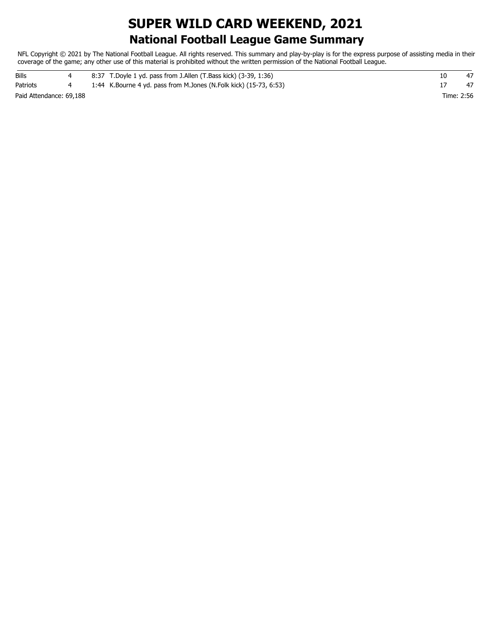### **National Football League Game Summary SUPER WILD CARD WEEKEND, 2021**

NFL Copyright © 2021 by The National Football League. All rights reserved. This summary and play-by-play is for the express purpose of assisting media in their coverage of the game; any other use of this material is prohibited without the written permission of the National Football League.

| Bills                   |  | 8:37 T.Doyle 1 yd. pass from J.Allen (T.Bass kick) (3-39, 1:36)      |            |    |
|-------------------------|--|----------------------------------------------------------------------|------------|----|
| Patriots                |  | 1:44 K. Bourne 4 yd. pass from M. Jones (N. Folk kick) (15-73, 6:53) |            | 47 |
| Paid Attendance: 69,188 |  |                                                                      | Time: 2:56 |    |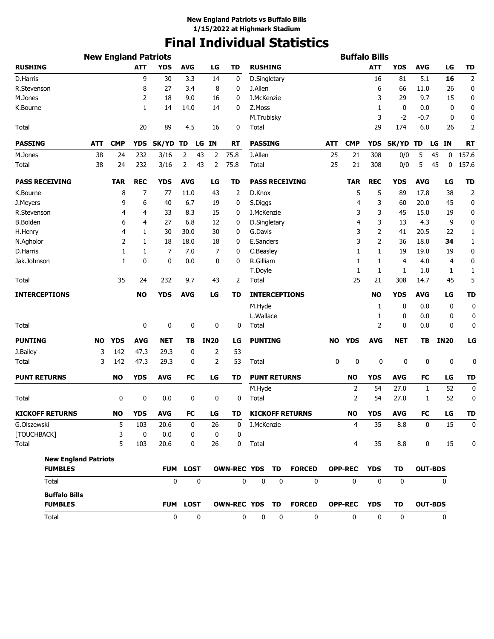# **Final Individual Statistics**

|                                        | <b>New England Patriots</b> |            |            |                 |             |             |             |                    |                     |    |                        |           | <b>Buffalo Bills</b> |              |             |            |                |             |
|----------------------------------------|-----------------------------|------------|------------|-----------------|-------------|-------------|-------------|--------------------|---------------------|----|------------------------|-----------|----------------------|--------------|-------------|------------|----------------|-------------|
| <b>RUSHING</b>                         |                             |            | <b>ATT</b> | <b>YDS</b>      | <b>AVG</b>  |             | LG          | <b>TD</b>          | <b>RUSHING</b>      |    |                        |           |                      | <b>ATT</b>   | <b>YDS</b>  | <b>AVG</b> | LG             | <b>TD</b>   |
| D.Harris                               |                             |            | 9          | 30              | 3.3         |             | 14          | 0                  | D.Singletary        |    |                        |           |                      | 16           | 81          | 5.1        | 16             | 2           |
| R.Stevenson                            |                             |            | 8          | 27              | 3.4         |             | 8           | 0                  | J.Allen             |    |                        |           |                      | 6            | 66          | 11.0       | 26             | 0           |
| M.Jones                                |                             |            | 2          | 18              | 9.0         |             | 16          | 0                  | I.McKenzie          |    |                        |           |                      | 3            | 29          | 9.7        | 15             | 0           |
| K.Bourne                               |                             |            | 1          | 14              | 14.0        |             | 14          | 0                  | Z.Moss              |    |                        |           |                      | 1            | 0           | 0.0        | 0              | 0           |
|                                        |                             |            |            |                 |             |             |             |                    | M.Trubisky          |    |                        |           |                      | 3            | $-2$        | -0.7       | 0              | 0           |
| Total                                  |                             |            | 20         | 89              | 4.5         |             | 16          | 0                  | Total               |    |                        |           |                      | 29           | 174         | 6.0        | 26             | 2           |
| <b>PASSING</b>                         | ATT                         | <b>CMP</b> | <b>YDS</b> | SK/YD TD        |             |             | LG IN       | RT                 | <b>PASSING</b>      |    |                        | ATT       | <b>CMP</b>           | <b>YDS</b>   | SK/YD TD    |            | LG IN          | <b>RT</b>   |
| M.Jones                                | 38                          | 24         | 232        | 3/16            | 2           | 43          | 2           | 75.8               | J.Allen             |    |                        | 25        | 21                   | 308          | 0/0         | 5          | 0<br>45        | 157.6       |
| Total                                  | 38                          | 24         | 232        | 3/16            | 2           | 43          | 2           | 75.8               | <b>Total</b>        |    |                        | 25        | 21                   | 308          | 0/0         | 5          | 45<br>0        | 157.6       |
| <b>PASS RECEIVING</b>                  |                             | <b>TAR</b> | <b>REC</b> | <b>YDS</b>      | <b>AVG</b>  |             | LG          | TD                 |                     |    | <b>PASS RECEIVING</b>  |           | <b>TAR</b>           | <b>REC</b>   | <b>YDS</b>  | <b>AVG</b> | LG             | <b>TD</b>   |
| K.Bourne                               |                             | 8          | 7          | 77              | 11.0        |             | 43          | 2                  | D.Knox              |    |                        |           | 5                    | 5            | 89          | 17.8       | 38             | 2           |
| J.Meyers                               |                             | 9          | 6          | 40              | 6.7         |             | 19          | 0                  | S.Diggs             |    |                        |           | 4                    | 3            | 60          | 20.0       | 45             | 0           |
| R.Stevenson                            |                             | 4          | 4          | 33              | 8.3         |             | 15          | 0                  | I.McKenzie          |    |                        |           | 3                    | 3            | 45          | 15.0       | 19             | 0           |
| <b>B.Bolden</b>                        |                             | 6          | 4          | 27              | 6.8         |             | 12          | 0                  | D.Singletary        |    |                        |           | 4                    | 3            | 13          | 4.3        | 9              | 0           |
| H.Henry                                |                             | 4          | 1          | 30              | 30.0        |             | 30          | 0                  | G.Davis             |    |                        |           | 3                    | 2            | 41          | 20.5       | 22             | 1           |
| N.Agholor                              |                             | 2          | 1          | 18              | 18.0        |             | 18          | 0                  | E.Sanders           |    |                        |           | 3                    | 2            | 36          | 18.0       | 34             | 1           |
| D.Harris                               |                             | 1          | 1          | 7               | 7.0         |             | 7           | 0                  | C.Beasley           |    |                        |           | 1                    | 1            | 19          | 19.0       | 19             | 0           |
| Jak.Johnson                            |                             | 1          | 0          | 0               | 0.0         |             | 0           | 0                  | R.Gilliam           |    |                        |           | 1                    | 1            | 4           | 4.0        | 4              | 0           |
|                                        |                             |            |            |                 |             |             |             |                    | T.Doyle             |    |                        |           | 1                    | 1            | 1           | 1.0        | 1              | 1           |
| Total                                  |                             | 35         | 24         | 232             | 9.7         |             | 43          | 2                  | Total               |    |                        |           | 25                   | 21           | 308         | 14.7       | 45             | 5           |
| <b>INTERCEPTIONS</b>                   |                             |            | <b>NO</b>  | <b>YDS</b>      | <b>AVG</b>  |             | LG          | TD                 |                     |    | <b>INTERCEPTIONS</b>   |           |                      | <b>NO</b>    | <b>YDS</b>  | <b>AVG</b> | LG             | <b>TD</b>   |
|                                        |                             |            |            |                 |             |             |             |                    | M.Hyde              |    |                        |           |                      | 1            | 0           | 0.0        | 0              | 0           |
|                                        |                             |            |            |                 |             |             |             |                    | L.Wallace           |    |                        |           |                      | 1            | 0           | 0.0        | 0              | 0           |
| Total                                  |                             |            | 0          | 0               |             | 0           | 0           | 0                  | Total               |    |                        |           |                      | 2            | 0           | 0.0        | 0              | 0           |
| <b>PUNTING</b>                         | <b>NO</b>                   | <b>YDS</b> | <b>AVG</b> | <b>NET</b>      | TВ          |             | <b>IN20</b> | LG                 | <b>PUNTING</b>      |    |                        | <b>NO</b> | <b>YDS</b>           | <b>AVG</b>   | <b>NET</b>  | TВ         | <b>IN20</b>    | LG          |
| J.Bailey                               | 3                           | 142        | 47.3       | 29.3            |             | 0           | 2           | 53                 |                     |    |                        |           |                      |              |             |            |                |             |
| Total                                  | 3                           | 142        | 47.3       | 29.3            |             | 0           | 2           | 53                 | Total               |    |                        | 0         | 0                    | 0            | 0           | 0          | 0              | 0           |
| <b>PUNT RETURNS</b>                    |                             | <b>NO</b>  | <b>YDS</b> | <b>AVG</b>      | <b>FC</b>   |             | LG          | TD                 | <b>PUNT RETURNS</b> |    |                        |           | <b>NO</b>            | <b>YDS</b>   | <b>AVG</b>  | FC         | LG             | <b>TD</b>   |
|                                        |                             |            |            |                 |             |             |             |                    | M.Hyde              |    |                        |           | $\overline{2}$       | 54           | 27.0        | 1          | 52             | $\mathbf 0$ |
| Total                                  |                             | 0          | 0          | 0.0             |             | 0           | 0           | 0                  | Total               |    |                        |           | 2                    | 54           | 27.0        | 1          | 52             | 0           |
| <b>KICKOFF RETURNS</b>                 |                             | <b>NO</b>  | <b>YDS</b> | <b>AVG</b>      | <b>FC</b>   |             | LG          | TD                 |                     |    | <b>KICKOFF RETURNS</b> |           | <b>NO</b>            | <b>YDS</b>   | AVG         | <b>FC</b>  | LG             | <b>TD</b>   |
| G.Olszewski                            |                             | 5          | 103        | 20.6            |             | 0           | 26          | 0                  | I.McKenzie          |    |                        |           | 4                    | 35           | 8.8         | 0          | 15             | 0           |
| [TOUCHBACK]                            |                             | 3          | 0          | 0.0             |             | 0           | 0           | 0                  |                     |    |                        |           |                      |              |             |            |                |             |
| Total                                  |                             | 5          | 103        | 20.6            |             | 0           | 26          | 0                  | Total               |    |                        |           | $\overline{4}$       | 35           | 8.8         | 0          | 15             | 0           |
| <b>New England Patriots</b>            |                             |            |            |                 |             |             |             |                    |                     |    |                        |           |                      |              |             |            |                |             |
| <b>FUMBLES</b>                         |                             |            |            | <b>FUM</b>      | <b>LOST</b> |             |             | <b>OWN-REC YDS</b> |                     | TD | <b>FORCED</b>          |           | <b>OPP-REC</b>       | <b>YDS</b>   | <b>TD</b>   |            | <b>OUT-BDS</b> |             |
| Total                                  |                             |            |            | 0               |             | 0           |             | 0                  | 0                   | 0  | $\mathbf 0$            |           | $\mathbf 0$          | $\mathbf 0$  | $\mathbf 0$ |            | 0              |             |
| <b>Buffalo Bills</b><br><b>FUMBLES</b> |                             |            |            | <b>FUM LOST</b> |             |             |             | OWN-REC YDS TD     |                     |    | <b>FORCED</b>          |           | <b>OPP-REC</b>       | <b>YDS</b>   | TD          |            | <b>OUT-BDS</b> |             |
| Total                                  |                             |            |            | 0               |             | $\mathbf 0$ |             | 0                  | 0                   | 0  | 0                      |           | 0                    | $\mathbf{0}$ | 0           |            | 0              |             |
|                                        |                             |            |            |                 |             |             |             |                    |                     |    |                        |           |                      |              |             |            |                |             |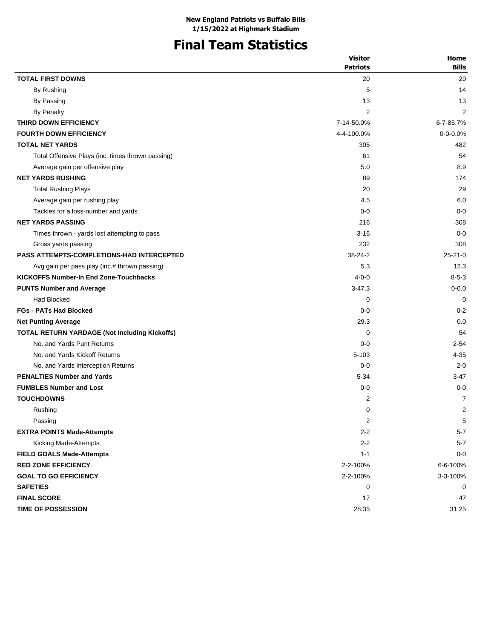# **Final Team Statistics**

|                                                   | <b>Visitor</b>  | Home           |
|---------------------------------------------------|-----------------|----------------|
|                                                   | <b>Patriots</b> | <b>Bills</b>   |
| <b>TOTAL FIRST DOWNS</b>                          | 20              | 29             |
| By Rushing                                        | 5               | 14             |
| By Passing                                        | 13              | 13             |
| <b>By Penalty</b>                                 | 2               | 2              |
| THIRD DOWN EFFICIENCY                             | 7-14-50.0%      | 6-7-85.7%      |
| <b>FOURTH DOWN EFFICIENCY</b>                     | 4-4-100.0%      | $0 - 0 - 0.0%$ |
| <b>TOTAL NET YARDS</b>                            | 305             | 482            |
| Total Offensive Plays (inc. times thrown passing) | 61              | 54             |
| Average gain per offensive play                   | 5.0             | 8.9            |
| <b>NET YARDS RUSHING</b>                          | 89              | 174            |
| <b>Total Rushing Plays</b>                        | 20              | 29             |
| Average gain per rushing play                     | 4.5             | 6.0            |
| Tackles for a loss-number and yards               | $0-0$           | $0 - 0$        |
| <b>NET YARDS PASSING</b>                          | 216             | 308            |
| Times thrown - yards lost attempting to pass      | $3 - 16$        | $0 - 0$        |
| Gross yards passing                               | 232             | 308            |
| <b>PASS ATTEMPTS-COMPLETIONS-HAD INTERCEPTED</b>  | 38-24-2         | $25 - 21 - 0$  |
| Avg gain per pass play (inc.# thrown passing)     | 5.3             | 12.3           |
| <b>KICKOFFS Number-In End Zone-Touchbacks</b>     | $4 - 0 - 0$     | $8 - 5 - 3$    |
| <b>PUNTS Number and Average</b>                   | $3 - 47.3$      | $0 - 0.0$      |
| <b>Had Blocked</b>                                | 0               | $\Omega$       |
| <b>FGs - PATs Had Blocked</b>                     | $0 - 0$         | $0 - 2$        |
| <b>Net Punting Average</b>                        | 29.3            | 0.0            |
| TOTAL RETURN YARDAGE (Not Including Kickoffs)     | 0               | 54             |
| No. and Yards Punt Returns                        | $0-0$           | $2 - 54$       |
| No. and Yards Kickoff Returns                     | $5 - 103$       | $4 - 35$       |
| No. and Yards Interception Returns                | $0 - 0$         | $2 - 0$        |
| <b>PENALTIES Number and Yards</b>                 | $5 - 34$        | $3 - 47$       |
| <b>FUMBLES Number and Lost</b>                    | $0-0$           | $0 - 0$        |
| <b>TOUCHDOWNS</b>                                 | $\overline{2}$  | 7              |
| Rushing                                           | 0               | $\overline{2}$ |
| Passing                                           | 2               | 5              |
| <b>EXTRA POINTS Made-Attempts</b>                 | $2 - 2$         | $5 - 7$        |
| Kicking Made-Attempts                             | $2 - 2$         | $5 - 7$        |
| <b>FIELD GOALS Made-Attempts</b>                  | $1 - 1$         | $0 - 0$        |
| <b>RED ZONE EFFICIENCY</b>                        | 2-2-100%        | 6-6-100%       |
| <b>GOAL TO GO EFFICIENCY</b>                      | 2-2-100%        | 3-3-100%       |
| <b>SAFETIES</b>                                   | 0               | 0              |
| <b>FINAL SCORE</b>                                | 17              | 47             |
| TIME OF POSSESSION                                | 28:35           | 31:25          |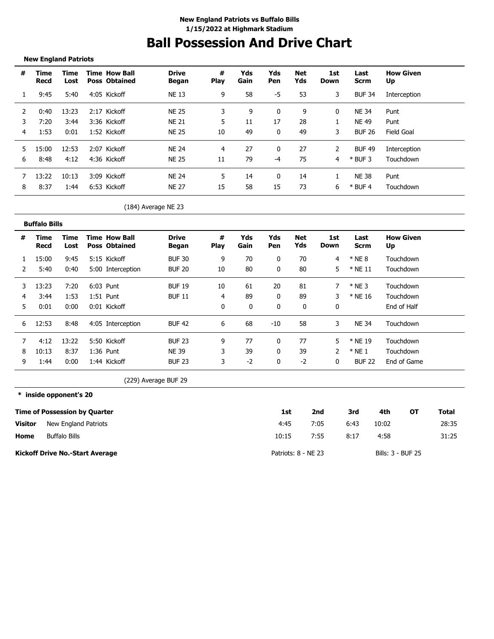# **Ball Possession And Drive Chart**

#### **New England Patriots**

| #  | Time<br>Recd | Time<br>Lost | <b>Time How Ball</b><br><b>Poss Obtained</b> | <b>Drive</b><br>Began | #<br><b>Play</b> | Yds<br>Gain | Yds<br>Pen | Net<br>Yds | 1st<br>Down | Last<br><b>Scrm</b> | <b>How Given</b><br>Up |
|----|--------------|--------------|----------------------------------------------|-----------------------|------------------|-------------|------------|------------|-------------|---------------------|------------------------|
|    | 9:45         | 5:40         | 4:05 Kickoff                                 | <b>NE 13</b>          | 9                | 58          | -5         | 53         | 3           | <b>BUF 34</b>       | Interception           |
|    | 0:40         | 13:23        | 2:17 Kickoff                                 | <b>NF 25</b>          |                  | 9           | 0          | 9          | 0           | <b>NE 34</b>        | Punt                   |
|    | 7:20         | 3:44         | 3:36 Kickoff                                 | <b>NF 21</b>          | 5.               | 11          | 17         | 28         |             | NE 49               | Punt                   |
| 4  | 1:53         | 0:01         | 1:52 Kickoff                                 | <b>NE 25</b>          | 10               | 49          | 0          | 49         | 3           | <b>BUF 26</b>       | Field Goal             |
| 5. | 15:00        | 12:53        | 2:07 Kickoff                                 | <b>NF 24</b>          | 4                | 27          | 0          | 27         | 2           | <b>BUF 49</b>       | Interception           |
| 6  | 8:48         | 4:12         | 4:36 Kickoff                                 | <b>NE 25</b>          | 11               | 79          | -4         | 75         | 4           | $*$ BUF 3           | Touchdown              |
|    | 13:22        | 10:13        | 3:09 Kickoff                                 | <b>NF 24</b>          | 5.               | 14          | 0          | 14         |             | <b>NE 38</b>        | Punt                   |
| 8  | 8:37         | 1:44         | 6:53 Kickoff                                 | <b>NE 27</b>          | 15               | 58          | 15         | 73         | 6           | $*$ BUF 4           | Touchdown              |

#### (184) Average NE 23

|    | <b>Buffalo Bills</b> |              |             |                                              |                       |                  |             |            |            |             |               |                        |
|----|----------------------|--------------|-------------|----------------------------------------------|-----------------------|------------------|-------------|------------|------------|-------------|---------------|------------------------|
| #  | Time<br>Recd         | Time<br>Lost |             | <b>Time How Ball</b><br><b>Poss Obtained</b> | <b>Drive</b><br>Began | #<br><b>Play</b> | Yds<br>Gain | Yds<br>Pen | Net<br>Yds | 1st<br>Down | Last<br>Scrm  | <b>How Given</b><br>Up |
|    | 15:00                | 9:45         |             | 5:15 Kickoff                                 | <b>BUF 30</b>         | 9                | 70          | 0          | 70         | 4           | $*$ NE 8      | Touchdown              |
|    | 5:40                 | 0:40         |             | 5:00 Interception                            | <b>BUF 20</b>         | 10               | 80          |            | 80         | 5           | $*$ NE 11     | Touchdown              |
| 3. | 13:23                | 7:20         | 6:03 Punt   |                                              | <b>BUF 19</b>         | 10               | 61          | 20         | 81         |             | $*$ NE 3      | Touchdown              |
|    | 3:44                 | 1:53         | $1:51$ Punt |                                              | <b>BUF 11</b>         | 4                | 89          | 0          | 89         |             | * NE 16       | Touchdown              |
| 5. | 0:01                 | 0:00         |             | 0:01 Kickoff                                 |                       | 0                | 0           | 0          | 0          | 0           |               | End of Half            |
| 6  | 12:53                | 8:48         |             | 4:05 Interception                            | <b>BUF 42</b>         | 6                | 68          | $-10$      | 58         | 3           | <b>NE 34</b>  | Touchdown              |
|    | 4:12                 | 13:22        |             | 5:50 Kickoff                                 | <b>BUF 23</b>         | 9                | 77          |            | 77         | 5           | * NE 19       | Touchdown              |
| 8  | 10:13                | 8:37         | $1:36$ Punt |                                              | <b>NE 39</b>          | 3                | 39          | 0          | 39         | 2           | $*$ NE 1      | Touchdown              |
| 9  | L:44                 | 0:00         |             | 1:44 Kickoff                                 | <b>BUF 23</b>         | 3                | $-2$        | 0          | $-2$       | 0           | <b>BUF 22</b> | End of Game            |

(229) Average BUF 29

**\* inside opponent's 20**

|                | <b>Time of Possession by Quarter</b>   | 1st                 | 2nd  | 3rd  | 4th               | ΟТ | Total |
|----------------|----------------------------------------|---------------------|------|------|-------------------|----|-------|
| <b>Visitor</b> | New England Patriots                   | 4:45                | 7:05 | 6:43 | 10:02             |    | 28:35 |
| Home           | <b>Buffalo Bills</b>                   | 10:15               | 7:55 | 8:17 | 4:58              |    | 31:25 |
|                | <b>Kickoff Drive No.-Start Average</b> | Patriots: 8 - NE 23 |      |      | Bills: 3 - BUF 25 |    |       |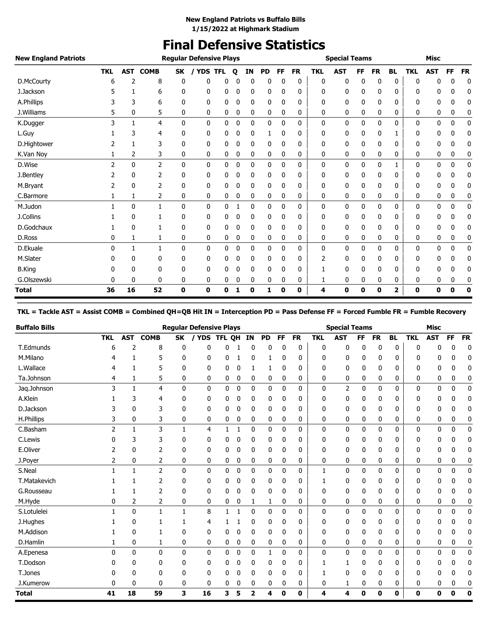## **Final Defensive Statistics**

| <b>New England Patriots</b> |                |              |                 |              | <b>Regular Defensive Plays</b> |            |   |          |           |    |           |            | <b>Special Teams</b> |          |           |           |            | <b>Misc</b> |    |           |
|-----------------------------|----------------|--------------|-----------------|--------------|--------------------------------|------------|---|----------|-----------|----|-----------|------------|----------------------|----------|-----------|-----------|------------|-------------|----|-----------|
|                             | <b>TKL</b>     |              | <b>AST COMB</b> | <b>SK</b>    | / YDS                          | <b>TFL</b> | Q | ΙN       | <b>PD</b> | FF | <b>FR</b> | <b>TKL</b> | <b>AST</b>           | FF       | <b>FR</b> | <b>BL</b> | <b>TKL</b> | <b>AST</b>  | FF | <b>FR</b> |
| D.McCourty                  | 6              | 2            | 8               | 0            | 0                              | 0          | 0 | $\Omega$ | 0         | 0  | 0         | 0          | 0                    | $\Omega$ | 0         | 0         | 0          | 0           | 0  | 0         |
| J.Jackson                   |                | 1            | 6               | 0            | 0                              | 0          | 0 | 0        | 0         | 0  | 0         | 0          | 0                    | 0        | 0         | 0         | 0          | 0           | 0  | 0         |
| A.Phillips                  |                | 3            | 6               | 0            | 0                              | 0          | 0 | 0        | 0         | 0  | 0         | 0          | 0                    | 0        | 0         | 0         | 0          | 0           | 0  | 0         |
| J.Williams                  | 5              | 0            | 5               | 0            | 0                              | 0          | 0 | 0        | 0         | 0  | 0         | 0          | 0                    | 0        | 0         | 0         | 0          | 0           | 0  | 0         |
| K.Dugger                    | 3              |              | 4               | 0            | 0                              | 0          | 0 | 0        | 0         | 0  | 0         | 0          | 0                    | 0        | 0         | 0         | 0          | 0           | 0  | 0         |
| L.Guy                       |                | 3            | 4               | 0            | 0                              | 0          | 0 | 0        | 1         | 0  | 0         | 0          | 0                    | 0        | 0         | 1         | 0          | 0           | 0  | 0         |
| D.Hightower                 |                |              | 3               | 0            | 0                              | 0          | 0 | 0        | 0         | 0  | 0         | 0          | 0                    | 0        | 0         | 0         | 0          | 0           | 0  | 0         |
| K.Van Nov                   |                | 2            | 3               | 0            | 0                              | 0          | 0 | 0        | 0         | 0  | 0         | 0          | 0                    | 0        | 0         | 0         | 0          | 0           | 0  | 0         |
| D.Wise                      | $\overline{2}$ | $\mathbf{0}$ | $\overline{2}$  | $\mathbf{0}$ | 0                              | 0          | 0 | 0        | 0         | 0  | 0         | 0          | 0                    | 0        | 0         | 1         | 0          | 0           | 0  | 0         |
| J.Bentley                   |                | 0            | 2               | 0            | 0                              | 0          | 0 | 0        | 0         | 0  | 0         | 0          | 0                    | 0        | 0         | 0         | 0          | 0           | 0  | 0         |
| M.Bryant                    | 2              | 0            | 2               | 0            | 0                              | 0          | 0 | 0        | 0         | 0  | 0         | 0          | 0                    | 0        | 0         | 0         | 0          | 0           | 0  | 0         |
| C.Barmore                   | 1              | 1            | 2               | 0            | 0                              | 0          | 0 | 0        | 0         | 0  | 0         | 0          | 0                    | 0        | 0         | 0         | 0          | 0           | 0  | 0         |
| M.Judon                     |                | $\mathbf{0}$ | $\mathbf{1}$    | 0            | 0                              | 0          |   | 0        | 0         | 0  | 0         | 0          | 0                    | 0        | 0         | 0         | 0          | 0           | 0  | 0         |
| J.Collins                   |                | 0            |                 | 0            | 0                              | 0          | 0 | 0        | 0         | 0  | 0         | 0          | 0                    | 0        | 0         | 0         | 0          | 0           | 0  | 0         |
| D.Godchaux                  |                | $\mathbf{0}$ | 1               | 0            | 0                              | 0          | 0 | 0        | 0         | 0  | 0         | 0          | 0                    | 0        | 0         | 0         | 0          | 0           | 0  | 0         |
| D.Ross                      | 0              | 1            | 1               | 0            | 0                              | 0          | 0 | 0        | 0         | 0  | 0         | 0          | 0                    | 0        | 0         | 0         | 0          | 0           | 0  | 0         |
| D.Ekuale                    | $\Omega$       | 1            | $\mathbf{1}$    | 0            | 0                              | 0          | 0 | 0        | 0         | 0  | 0         | 0          | 0                    | 0        | 0         | 0         | 0          | 0           | 0  | 0         |
| M.Slater                    | 0              | 0            | 0               | 0            | 0                              | 0          | 0 | 0        | 0         | 0  | 0         | 2          | 0                    | 0        | 0         | 0         | 0          | 0           | 0  | 0         |
| <b>B.King</b>               | 0              | 0            | 0               | 0            | 0                              | 0          |   | 0        | 0         | 0  | 0         |            | 0                    | 0        | 0         | 0         | 0          | 0           | 0  | 0         |
| G.Olszewski                 | 0              | 0            | 0               | 0            | 0                              | 0          | 0 | 0        | 0         | 0  | 0         | 1          | 0                    | 0        | 0         | 0         | 0          | 0           | 0  | 0         |
| <b>Total</b>                | 36             | 16           | 52              | 0            | 0                              | 0          | 1 | 0        | 1         | 0  | 0         | 4          | 0                    | 0        | 0         | 2         | 0          | 0           | 0  | 0         |

#### **TKL = Tackle AST = Assist COMB = Combined QH=QB Hit IN = Interception PD = Pass Defense FF = Forced Fumble FR = Fumble Recovery**

| <b>Buffalo Bills</b> |            |              |                |              | <b>Regular Defensive Plays</b> |        |              |    |           |           |           |              | <b>Special Teams</b> |           |           |           |            | <b>Misc</b> |          |           |
|----------------------|------------|--------------|----------------|--------------|--------------------------------|--------|--------------|----|-----------|-----------|-----------|--------------|----------------------|-----------|-----------|-----------|------------|-------------|----------|-----------|
|                      | <b>TKL</b> | <b>AST</b>   | <b>COMB</b>    | <b>SK</b>    | <b>YDS</b>                     | TFL QH |              | IN | <b>PD</b> | <b>FF</b> | <b>FR</b> | <b>TKL</b>   | <b>AST</b>           | <b>FF</b> | <b>FR</b> | <b>BL</b> | <b>TKL</b> | <b>AST</b>  | FF       | <b>FR</b> |
| T.Edmunds            | 6          | 2            | 8              | 0            | ŋ                              | 0      |              | 0  | 0         | 0         | 0         | 0            | 0                    | 0         | 0         | 0         | 0          | n           | C        | 0         |
| M.Milano             |            |              | 5              | 0            | 0                              | 0      |              | 0  |           | 0         | 0         | 0            | 0                    | 0         | 0         | 0         | 0          | 0           | 0        | 0         |
| L.Wallace            |            | 1            | 5              | 0            | 0                              | 0      | 0            | 1  | 1         | 0         | 0         | 0            | 0                    | 0         | 0         | 0         | 0          | 0           | 0        | 0         |
| Ta.Johnson           | 4          | 1            | 5              | 0            | 0                              | 0      | 0            | 0  | 0         | 0         | 0         | 0            | 0                    | 0         | 0         | 0         | 0          | 0           | 0        | 0         |
| Jaq.Johnson          | 3          | $\mathbf{1}$ | 4              | $\mathbf{0}$ | 0                              | 0      | 0            | 0  | 0         | 0         | 0         | 0            | 2                    | 0         | 0         | 0         | 0          | 0           | 0        | 0         |
| A.Klein              |            | 3            | 4              | 0            | 0                              | 0      | 0            | 0  | 0         | 0         | 0         | 0            | 0                    | 0         | 0         | 0         | 0          | 0           |          | 0         |
| D.Jackson            |            | 0            | 3              | $\mathbf{0}$ | 0                              | 0      | 0            | 0  | 0         | 0         | 0         | 0            | 0                    | 0         | 0         | 0         | 0          | 0           | 0        | 0         |
| H.Phillips           | 3          | 0            | 3              | 0            | 0                              | 0      | 0            | 0  | 0         | 0         | 0         | 0            | 0                    | 0         | 0         | 0         | 0          | 0           | 0        | 0         |
| C.Basham             | 2          | $\mathbf{1}$ | 3              | $\mathbf{1}$ | 4                              | 1      | 1            | 0  | 0         | 0         | 0         | 0            | 0                    | 0         | 0         | 0         | 0          | 0           | 0        | 0         |
| C.Lewis              |            | 3            | 3              | 0            | 0                              | 0      | 0            | 0  | 0         | 0         | 0         | 0            | 0                    | 0         | 0         | 0         | 0          | 0           | 0        | 0         |
| E.Oliver             | 2          | 0            | 2              | 0            | 0                              | 0      | 0            | 0  | 0         | 0         | 0         | 0            | 0                    | 0         | 0         | 0         | 0          | 0           | 0        | 0         |
| J.Poyer              | 2          | 0            | 2              | 0            | 0                              | 0      | 0            | 0  | 0         | 0         | 0         | 0            | 0                    | 0         | 0         | 0         | 0          | 0           | 0        | 0         |
| S.Neal               |            | $\mathbf{1}$ | $\overline{2}$ | $\mathbf{0}$ | 0                              | 0      | 0            | 0  | 0         | 0         | 0         | $\mathbf{1}$ | 0                    | 0         | 0         | 0         | 0          | 0           | 0        | 0         |
| T.Matakevich         |            | 1            | $\overline{2}$ | 0            | 0                              | 0      | 0            | 0  | 0         | 0         | 0         | 1            | 0                    | 0         | 0         | 0         | 0          | 0           | 0        | 0         |
| G.Rousseau           |            | 1            | 2              | 0            | 0                              | 0      | 0            | 0  | 0         | 0         | 0         | 0            | 0                    | 0         | 0         | 0         | 0          | 0           | 0        | 0         |
| M.Hyde               | 0          | 2            | 2              | 0            | 0                              | 0      | 0            | 1  | 1         | 0         | 0         | 0            | 0                    | 0         | 0         | 0         | 0          | 0           | 0        | 0         |
| S.Lotulelei          |            | 0            | 1              | $\mathbf{1}$ | 8                              | 1      | $\mathbf{1}$ | 0  | 0         | 0         | 0         | 0            | 0                    | 0         | 0         | 0         | 0          | 0           | 0        | 0         |
| J.Hughes             |            | 0            | 1              | 1            | 4                              |        |              | 0  | 0         | 0         | 0         | 0            | 0                    | 0         | 0         | 0         | 0          | 0           | 0        | 0         |
| M.Addison            |            | 0            | 1              | 0            | 0                              | 0      | 0            | 0  | 0         | 0         | 0         | 0            | 0                    | 0         | 0         | 0         | 0          | 0           | 0        | 0         |
| D.Hamlin             | 1          | 0            | 1              | 0            | 0                              | 0      | 0            | 0  | 0         | 0         | 0         | 0            | 0                    | 0         | 0         | 0         | 0          | 0           | 0        | 0         |
| A.Epenesa            | 0          | 0            | 0              | 0            | 0                              | 0      | 0            | 0  | 1         | 0         | 0         | 0            | 0                    | 0         | 0         | 0         | 0          | 0           | 0        | 0         |
| T.Dodson             |            | 0            | 0              | 0            | 0                              | 0      | 0            | 0  | 0         | 0         | 0         | 1            | 1                    | 0         | 0         | 0         | 0          | 0           | 0        | 0         |
| T.Jones              |            | 0            | 0              | 0            | 0                              | 0      | 0            | 0  | 0         | 0         | 0         |              | 0                    | 0         | 0         | 0         | 0          | 0           | 0        | 0         |
| J.Kumerow            | 0          | 0            | 0              | 0            | 0                              | 0      | 0            | 0  | 0         | 0         | 0         | 0            | 1                    | 0         | 0         | 0         | 0          | 0           | 0        | 0         |
| <b>Total</b>         | 41         | 18           | 59             | 3            | 16                             | 3      | 5            | 2  | 4         | 0         | 0         | 4            | 4                    | 0         | 0         | 0         | 0          | 0           | $\bf{0}$ | 0         |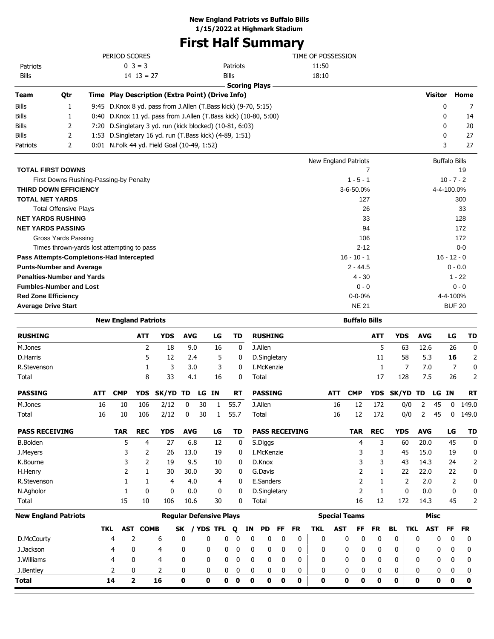## **First Half Summary**

|                                            |     | PERIOD SCORES               |                 |                                                                  |              |             |    |                          |             |                |    |                       | TIME OF POSSESSION |            |                              |              |            |             |                |                           |           |
|--------------------------------------------|-----|-----------------------------|-----------------|------------------------------------------------------------------|--------------|-------------|----|--------------------------|-------------|----------------|----|-----------------------|--------------------|------------|------------------------------|--------------|------------|-------------|----------------|---------------------------|-----------|
| Patriots                                   |     |                             | $0 \ 3 = 3$     |                                                                  |              |             |    | Patriots                 |             |                |    |                       | 11:50              |            |                              |              |            |             |                |                           |           |
| Bills                                      |     |                             | $14$ $13 = 27$  |                                                                  |              |             |    | <b>Bills</b>             |             |                |    |                       | 18:10              |            |                              |              |            |             |                |                           |           |
|                                            |     |                             |                 |                                                                  |              |             |    | <b>Scoring Plays</b>     |             |                |    |                       |                    |            |                              |              |            |             |                |                           |           |
| Qtr<br>Team                                |     |                             |                 | Time Play Description (Extra Point) (Drive Info)                 |              |             |    |                          |             |                |    |                       |                    |            |                              |              |            |             | <b>Visitor</b> |                           | Home      |
| Bills<br>1                                 |     |                             |                 | 9:45 D.Knox 8 yd. pass from J.Allen (T.Bass kick) (9-70, 5:15)   |              |             |    |                          |             |                |    |                       |                    |            |                              |              |            |             |                | 0                         | 7         |
| Bills<br>1                                 |     |                             |                 | 0:40 D.Knox 11 yd. pass from J.Allen (T.Bass kick) (10-80, 5:00) |              |             |    |                          |             |                |    |                       |                    |            |                              |              |            |             |                | 0                         | 14        |
| Bills<br>2                                 |     |                             |                 | 7:20 D.Singletary 3 yd. run (kick blocked) (10-81, 6:03)         |              |             |    |                          |             |                |    |                       |                    |            |                              |              |            |             |                | 0                         | 20        |
| 2<br>Bills                                 |     |                             |                 | 1:53 D.Singletary 16 yd. run (T.Bass kick) (4-89, 1:51)          |              |             |    |                          |             |                |    |                       |                    |            |                              |              |            |             |                | 0                         | 27        |
| 2<br>Patriots                              |     |                             |                 | 0:01 N.Folk 44 yd. Field Goal (10-49, 1:52)                      |              |             |    |                          |             |                |    |                       |                    |            |                              |              |            |             |                | 3                         | 27        |
|                                            |     |                             |                 |                                                                  |              |             |    |                          |             |                |    |                       |                    |            | New England Patriots         |              |            |             |                | <b>Buffalo Bills</b>      |           |
| <b>TOTAL FIRST DOWNS</b>                   |     |                             |                 |                                                                  |              |             |    |                          |             |                |    |                       |                    |            |                              | 7            |            |             |                |                           | 19        |
| First Downs Rushing-Passing-by Penalty     |     |                             |                 |                                                                  |              |             |    |                          |             |                |    |                       |                    |            | $1 - 5 - 1$                  |              |            |             |                | $10 - 7 - 2$              |           |
| THIRD DOWN EFFICIENCY                      |     |                             |                 |                                                                  |              |             |    |                          |             |                |    |                       |                    |            | 3-6-50.0%                    |              |            |             |                | 4-4-100.0%                |           |
| <b>TOTAL NET YARDS</b>                     |     |                             |                 |                                                                  |              |             |    |                          |             |                |    |                       |                    |            | 127                          |              |            |             |                |                           | 300       |
| <b>Total Offensive Plays</b>               |     |                             |                 |                                                                  |              |             |    |                          |             |                |    |                       |                    |            |                              | 26           |            |             |                |                           | 33        |
| <b>NET YARDS RUSHING</b>                   |     |                             |                 |                                                                  |              |             |    |                          |             |                |    |                       |                    |            |                              | 33           |            |             |                |                           | 128       |
| <b>NET YARDS PASSING</b>                   |     |                             |                 |                                                                  |              |             |    |                          |             |                |    |                       |                    |            |                              | 94           |            |             |                |                           | 172       |
| <b>Gross Yards Passing</b>                 |     |                             |                 |                                                                  |              |             |    |                          |             |                |    |                       |                    |            | 106                          |              |            |             |                |                           | 172       |
| Times thrown-yards lost attempting to pass |     |                             |                 |                                                                  |              |             |    |                          |             |                |    |                       |                    |            | $2 - 12$                     |              |            |             |                |                           | $0 - 0$   |
| Pass Attempts-Completions-Had Intercepted  |     |                             |                 |                                                                  |              |             |    |                          |             |                |    |                       |                    |            | $16 - 10 - 1$                |              |            |             |                | $16 - 12 - 0$             |           |
| <b>Punts-Number and Average</b>            |     |                             |                 |                                                                  |              |             |    |                          |             |                |    |                       |                    |            | $2 - 44.5$                   |              |            |             |                | $0 - 0.0$                 |           |
| <b>Penalties-Number and Yards</b>          |     |                             |                 |                                                                  |              |             |    |                          |             |                |    |                       |                    |            | 4 - 30                       |              |            |             |                | $1 - 22$                  |           |
| <b>Fumbles-Number and Lost</b>             |     |                             |                 |                                                                  |              |             |    |                          |             |                |    |                       |                    |            | $0 - 0$                      |              |            |             |                |                           | $0 - 0$   |
| <b>Red Zone Efficiency</b>                 |     |                             |                 |                                                                  |              |             |    |                          |             |                |    |                       |                    |            | $0 - 0 - 0%$<br><b>NE 21</b> |              |            |             |                | 4-4-100%<br><b>BUF 20</b> |           |
| <b>Average Drive Start</b>                 |     |                             |                 |                                                                  |              |             |    |                          |             |                |    |                       |                    |            |                              |              |            |             |                |                           |           |
|                                            |     | <b>New England Patriots</b> |                 |                                                                  |              |             |    |                          |             |                |    |                       |                    |            | <b>Buffalo Bills</b>         |              |            |             |                |                           |           |
| <b>RUSHING</b>                             |     |                             | ATT             | <b>YDS</b>                                                       | <b>AVG</b>   |             | LG | TD                       |             | <b>RUSHING</b> |    |                       |                    |            |                              | <b>ATT</b>   | YDS        | <b>AVG</b>  |                | LG                        | TD        |
| M.Jones                                    |     |                             | 2               | 18                                                               | 9.0          |             | 16 | 0                        |             | J.Allen        |    |                       |                    |            |                              | 5            | 63         | 12.6        |                | 26                        | 0         |
| D.Harris                                   |     |                             | 5               | 12                                                               | 2.4          |             | 5  | 0                        |             | D.Singletary   |    |                       |                    |            |                              | 11           | 58         | 5.3         |                | 16                        | 2         |
| R.Stevenson                                |     |                             | 1               | 3                                                                | 3.0          |             | 3  | 0                        |             | I.McKenzie     |    |                       |                    |            |                              | 1            | 7          | 7.0         |                | 7                         | 0         |
| Total                                      |     |                             | 8               | 33                                                               | 4.1          |             | 16 | 0                        |             | Total          |    |                       |                    |            |                              | 17           | 128        | 7.5         |                | 26                        | 2         |
| <b>PASSING</b>                             | ATT | <b>CMP</b>                  | YDS             | SK/YD TD                                                         |              | LG IN       |    | RT                       |             | <b>PASSING</b> |    |                       |                    | ATT        | <b>CMP</b>                   | <b>YDS</b>   | SK/YD TD   |             | LG             | IN.                       | <b>RT</b> |
| M.Jones                                    | 16  | 10                          | 106             | 2/12                                                             | 0            | 30          | 1  | 55.7                     |             | J.Allen        |    |                       |                    | 16         | 12                           | 172          | 0/0        | 2           | 45             | 0                         | 149.0     |
| Total                                      | 16  | 10                          | 106             | 2/12                                                             | 0            | 30          | 1  | 55.7                     |             | Total          |    |                       |                    | 16         | 12                           | 172          | 0/0        | 2           | 45             | 0                         | 149.0     |
| <b>PASS RECEIVING</b>                      |     | <b>TAR</b>                  | <b>REC</b>      | <b>YDS</b>                                                       | <b>AVG</b>   |             | LG | <b>TD</b>                |             |                |    | <b>PASS RECEIVING</b> |                    |            | <b>TAR</b>                   | <b>REC</b>   | <b>YDS</b> | <b>AVG</b>  |                | LG                        | TD        |
| <b>B.Bolden</b>                            |     | 5                           | 4               | 27                                                               | 6.8          |             | 12 | 0                        |             | S.Diggs        |    |                       |                    |            | 4                            | 3            | 60         | 20.0        |                | 45                        | 0         |
| J.Meyers                                   |     | 3                           | 2               | 26                                                               | 13.0         |             | 19 | 0                        |             | I.McKenzie     |    |                       |                    |            | 3                            | 3            | 45         | 15.0        |                | 19                        | 0         |
| K.Bourne                                   |     | 3                           | 2               | 19                                                               | 9.5          |             | 10 | 0                        |             | D.Knox         |    |                       |                    |            | 3                            | 3            | 43         | 14.3        |                | 24                        | 2         |
| H.Henry                                    |     | 2                           | $\mathbf{1}$    | 30                                                               | 30.0         |             | 30 | 0                        |             | G.Davis        |    |                       |                    |            | 2                            | 1            | 22         | 22.0        |                | 22                        | 0         |
| R.Stevenson                                |     | 1                           | 1               | 4                                                                | 4.0          |             | 4  | 0                        |             | E.Sanders      |    |                       |                    |            | 2                            | $\mathbf{1}$ | 2          | 2.0         |                | 2                         | 0         |
| N.Agholor                                  |     | 1                           | 0               | 0                                                                | 0.0          |             | 0  | 0                        |             | D.Singletary   |    |                       |                    |            | 2                            | $\mathbf{1}$ | 0          | 0.0         |                | 0                         | 0         |
| Total                                      |     | 15                          | 10              | 106                                                              | 10.6         |             | 30 | 0                        |             | Total          |    |                       |                    |            | 16                           | 12           | 172        | 14.3        |                | 45                        | 2         |
| <b>New England Patriots</b>                |     |                             |                 | <b>Regular Defensive Plays</b>                                   |              |             |    |                          |             |                |    |                       |                    |            | <b>Special Teams</b>         |              |            |             | <b>Misc</b>    |                           |           |
|                                            |     | TKL                         | <b>AST COMB</b> |                                                                  | SK / YDS TFL |             |    | Q                        | ΙN          | <b>PD</b>      | FF | <b>FR</b>             | TKL                | <b>AST</b> | FF                           | <b>FR</b>    | BL<br>TKL  |             | <b>AST</b>     | FF                        | FR        |
| D.McCourty                                 |     | 4                           | 2               | 6                                                                | $\mathbf 0$  | 0           |    | 0<br>0                   | 0           | 0              | 0  | 0                     | 0                  |            | 0<br>0                       | 0            | 0          | 0           | 0              | 0                         | 0         |
| J.Jackson                                  |     | 4                           | 0               | 4                                                                | 0            | 0           |    | 0<br>0                   | 0           | 0              | 0  | 0                     | 0                  |            | 0<br>0                       | 0            | 0          | 0           | 0              | 0                         | 0         |
| J.Williams                                 |     | 4                           | 0               | 4                                                                | 0            | 0           |    | 0<br>0                   | 0           | 0              | 0  | 0                     | 0                  |            | 0<br>0                       | 0            | 0          | 0           | 0              | 0                         | 0         |
| J.Bentley                                  |     | 2                           | 0               | 2                                                                | 0            | 0           |    | 0<br>0                   | 0           | 0              | 0  | 0                     | 0                  |            | 0<br>0                       | 0            | 0          | 0           | 0              | 0                         | 0         |
| Total                                      |     | 14                          | $\overline{2}$  | 16                                                               | $\mathbf 0$  | $\mathbf 0$ |    | $\pmb{0}$<br>$\mathbf 0$ | $\mathbf 0$ | 0              | 0  | $\mathbf 0$           | 0                  |            | 0<br>$\mathbf 0$             | 0            | 0          | $\mathbf 0$ | $\mathbf 0$    | 0                         | $\pmb{0}$ |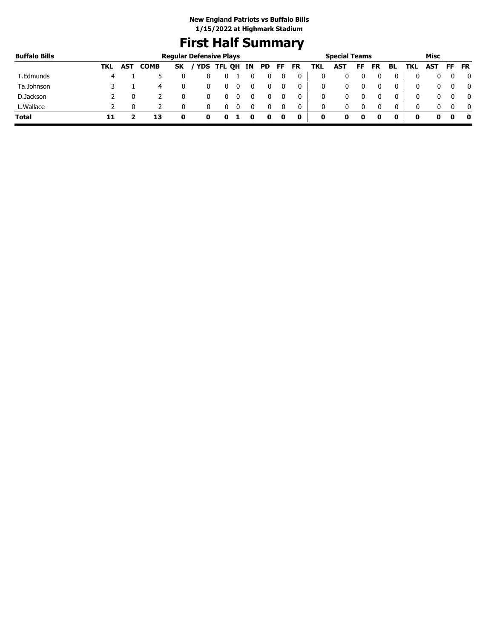# **First Half Summary**

| <b>Buffalo Bills</b> |     |            |             | <b>Regular Defensive Plays</b> |   |             |    |    |    |           |     | <b>Special Teams</b> |    |           |    |     | Misc |     |           |
|----------------------|-----|------------|-------------|--------------------------------|---|-------------|----|----|----|-----------|-----|----------------------|----|-----------|----|-----|------|-----|-----------|
|                      | TKL | <b>AST</b> | <b>COMB</b> | <b>SK</b>                      |   | 'YDS TFL QH | IN | PD | FF | <b>FR</b> | TKL | <b>AST</b>           | FF | <b>FR</b> | BL | TKL | AST  | FF. | <b>FR</b> |
| T.Edmunds            | 4   |            |             |                                |   |             |    |    |    | 0         | 0   |                      |    |           | 0  |     |      |     | 0         |
| Ta.Johnson           |     |            | 4           |                                |   |             |    |    |    | 0         | 0   |                      |    |           | 0  |     |      |     | 0         |
| D.Jackson            |     |            |             |                                |   |             |    |    |    | 0         | 0   |                      |    |           | 0  |     |      |     | 0         |
| L.Wallace            |     |            |             |                                |   |             |    |    |    | 0         | 0   |                      |    |           | 0  |     |      |     | - 0       |
| <b>Total</b>         |     |            | 13          |                                | o |             |    | 0  | O  | 0         | 0   |                      | o  |           |    | o   |      |     | 0         |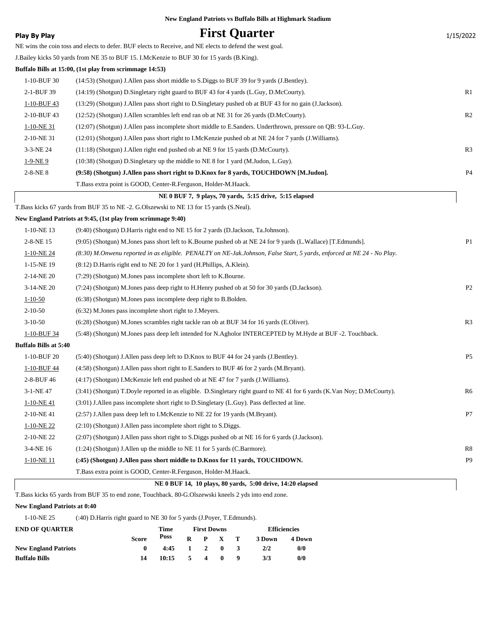|                              | New England Patriots vs Buffalo Bills at Highmark Stadium                                                                |                |
|------------------------------|--------------------------------------------------------------------------------------------------------------------------|----------------|
| Play By Play                 | <b>First Quarter</b>                                                                                                     | 1/15/2022      |
|                              | NE wins the coin toss and elects to defer. BUF elects to Receive, and NE elects to defend the west goal.                 |                |
|                              | J.Bailey kicks 50 yards from NE 35 to BUF 15. I.McKenzie to BUF 30 for 15 yards (B.King).                                |                |
|                              | Buffalo Bills at 15:00, (1st play from scrimmage 14:53)                                                                  |                |
| 1-10-BUF 30                  | (14:53) (Shotgun) J. Allen pass short middle to S. Diggs to BUF 39 for 9 yards (J. Bentley).                             |                |
| 2-1-BUF 39                   | (14:19) (Shotgun) D.Singletary right guard to BUF 43 for 4 yards (L.Guy, D.McCourty).                                    | R1             |
| 1-10-BUF 43                  | (13:29) (Shotgun) J.Allen pass short right to D.Singletary pushed ob at BUF 43 for no gain (J.Jackson).                  |                |
| 2-10-BUF43                   | (12:52) (Shotgun) J. Allen scrambles left end ran ob at NE 31 for 26 yards (D. McCourty).                                | R <sub>2</sub> |
| $1-10-NE$ 31                 | (12:07) (Shotgun) J. Allen pass incomplete short middle to E. Sanders. Underthrown, pressure on QB: 93-L. Guy.           |                |
| 2-10-NE 31                   | (12:01) (Shotgun) J. Allen pass short right to I. McKenzie pushed ob at NE 24 for 7 yards (J. Williams).                 |                |
| 3-3-NE 24                    | $(11:18)$ (Shotgun) J. Allen right end pushed ob at NE 9 for 15 yards (D. McCourty).                                     | R <sub>3</sub> |
| $1-9-NE9$                    | (10:38) (Shotgun) D.Singletary up the middle to NE 8 for 1 yard (M.Judon, L.Guy).                                        |                |
| $2 - 8 - NE_8$               | (9:58) (Shotgun) J.Allen pass short right to D.Knox for 8 yards, TOUCHDOWN [M.Judon].                                    | P <sub>4</sub> |
|                              | T.Bass extra point is GOOD, Center-R.Ferguson, Holder-M.Haack.                                                           |                |
|                              | NE 0 BUF 7, 9 plays, 70 yards, 5:15 drive, 5:15 elapsed                                                                  |                |
|                              | T.Bass kicks 67 yards from BUF 35 to NE -2. G.Olszewski to NE 13 for 15 yards (S.Neal).                                  |                |
|                              | New England Patriots at 9:45, (1st play from scrimmage 9:40)                                                             |                |
| $1-10-NE$ 13                 | (9:40) (Shotgun) D.Harris right end to NE 15 for 2 yards (D.Jackson, Ta.Johnson).                                        |                |
| 2-8-NE 15                    | (9:05) (Shotgun) M.Jones pass short left to K.Bourne pushed ob at NE 24 for 9 yards (L.Wallace) [T.Edmunds].             | P <sub>1</sub> |
| 1-10-NE 24                   | (8:30) M.Onwenu reported in as eligible. PENALTY on NE-Jak.Johnson, False Start, 5 yards, enforced at NE 24 - No Play.   |                |
| 1-15-NE 19                   | (8:12) D. Harris right end to NE 20 for 1 yard (H. Phillips, A. Klein).                                                  |                |
| 2-14-NE 20                   | (7:29) (Shotgun) M.Jones pass incomplete short left to K.Bourne.                                                         |                |
| 3-14-NE 20                   | (7:24) (Shotgun) M.Jones pass deep right to H.Henry pushed ob at 50 for 30 yards (D.Jackson).                            | P <sub>2</sub> |
| $1 - 10 - 50$                | (6:38) (Shotgun) M.Jones pass incomplete deep right to B.Bolden.                                                         |                |
| $2 - 10 - 50$                | (6:32) M. Jones pass incomplete short right to J. Meyers.                                                                |                |
| $3-10-50$                    | (6:28) (Shotgun) M.Jones scrambles right tackle ran ob at BUF 34 for 16 yards (E.Oliver).                                | R <sub>3</sub> |
| 1-10-BUF 34                  | (5.48) (Shotgun) M.Jones pass deep left intended for N.Agholor INTERCEPTED by M.Hyde at BUF -2. Touchback.               |                |
| <b>Buffalo Bills at 5:40</b> |                                                                                                                          |                |
| 1-10-BUF 20                  | (5:40) (Shotgun) J. Allen pass deep left to D. Knox to BUF 44 for 24 yards (J. Bentley).                                 | P <sub>5</sub> |
| 1-10-BUF 44                  | (4:58) (Shotgun) J. Allen pass short right to E. Sanders to BUF 46 for 2 yards (M. Bryant).                              |                |
| 2-8-BUF 46                   | (4:17) (Shotgun) I.McKenzie left end pushed ob at NE 47 for 7 yards (J.Williams).                                        |                |
| 3-1-NE 47                    | (3:41) (Shotgun) T.Doyle reported in as eligible. D.Singletary right guard to NE 41 for 6 yards (K.Van Noy; D.McCourty). | R6             |
| $1-10-NE$ 41                 | (3:01) J. Allen pass incomplete short right to D. Singletary (L. Guy). Pass deflected at line.                           |                |
| 2-10-NE41                    | (2:57) J.Allen pass deep left to I.McKenzie to NE 22 for 19 yards (M.Bryant).                                            | P7             |
| $1-10-NE$ 22                 | $(2:10)$ (Shotgun) J. Allen pass incomplete short right to S. Diggs.                                                     |                |
| 2-10-NE 22                   | (2:07) (Shotgun) J.Allen pass short right to S.Diggs pushed ob at NE 16 for 6 yards (J.Jackson).                         |                |
| 3-4-NE 16                    | (1:24) (Shotgun) J.Allen up the middle to NE 11 for 5 yards (C.Barmore).                                                 | R8             |
| 1-10-NE 11                   | (:45) (Shotgun) J.Allen pass short middle to D.Knox for 11 yards, TOUCHDOWN.                                             | P9             |
|                              | T.Bass extra point is GOOD, Center-R.Ferguson, Holder-M.Haack.                                                           |                |
|                              | NE 0 BUF 14, 10 plays, 80 yards, 5:00 drive, 14:20 elapsed                                                               |                |

TE U BUF 14, 10 prays, ou yarus, 3.00 urive, 14.<br>T.Bass kicks 65 yards from BUF 35 to end zone, Touchback. 80-G.Olszewski kneels 2 yds into end zone.

### **New England Patriots at 0:40**

1-10-NE 25 (:40) D.Harris right guard to NE 30 for 5 yards (J.Poyer, T.Edmunds).

| <b>END OF OUARTER</b>       |              | Time           | <b>First Downs</b> |    |                 |     | <b>Efficiencies</b> |        |  |
|-----------------------------|--------------|----------------|--------------------|----|-----------------|-----|---------------------|--------|--|
|                             | <b>Score</b> | Poss           |                    |    | $R$ $P$ $X$ $T$ |     | 3 Down              | 4 Down |  |
| <b>New England Patriots</b> |              | $4:45$ 1 2 0 3 |                    |    |                 |     | 2/2                 | 0/0    |  |
| <b>Buffalo Bills</b>        | 14           | 10:15          | 5.                 | 40 |                 | - 9 | 3/3                 | 0/0    |  |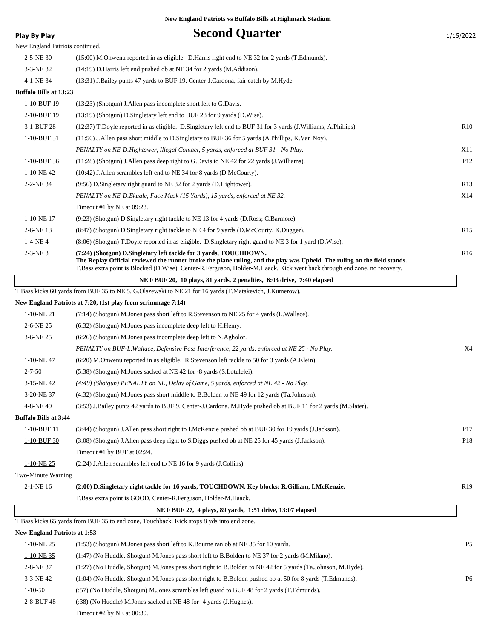| <b>Play By Play</b>                 | <b>Second Quarter</b>                                                                                                                                                                         | 1/15/2022       |
|-------------------------------------|-----------------------------------------------------------------------------------------------------------------------------------------------------------------------------------------------|-----------------|
| New England Patriots continued.     |                                                                                                                                                                                               |                 |
| 2-5-NE 30                           | (15:00) M.Onwenu reported in as eligible. D.Harris right end to NE 32 for 2 yards (T.Edmunds).                                                                                                |                 |
| 3-3-NE 32                           | (14:19) D.Harris left end pushed ob at NE 34 for 2 yards (M.Addison).                                                                                                                         |                 |
| 4-1-NE 34                           | (13:31) J.Bailey punts 47 yards to BUF 19, Center-J.Cardona, fair catch by M.Hyde.                                                                                                            |                 |
| <b>Buffalo Bills at 13:23</b>       |                                                                                                                                                                                               |                 |
| 1-10-BUF 19                         | (13:23) (Shotgun) J.Allen pass incomplete short left to G.Davis.                                                                                                                              |                 |
| 2-10-BUF 19                         | (13:19) (Shotgun) D.Singletary left end to BUF 28 for 9 yards (D.Wise).                                                                                                                       |                 |
| 3-1-BUF 28                          | (12:37) T.Doyle reported in as eligible. D.Singletary left end to BUF 31 for 3 yards (J.Williams, A.Phillips).                                                                                | R10             |
| 1-10-BUF 31                         | (11:50) J. Allen pass short middle to D. Singletary to BUF 36 for 5 yards (A. Phillips, K. Van Noy).                                                                                          |                 |
|                                     | PENALTY on NE-D.Hightower, Illegal Contact, 5 yards, enforced at BUF 31 - No Play.                                                                                                            | X11             |
| 1-10-BUF 36                         | $(11:28)$ (Shotgun) J. Allen pass deep right to G. Davis to NE 42 for 22 yards (J. Williams).                                                                                                 | P <sub>12</sub> |
| $1-10-NE$ 42                        | $(10:42)$ J. Allen scrambles left end to NE 34 for 8 yards (D. McCourty).                                                                                                                     |                 |
| 2-2-NE 34                           | (9:56) D. Singletary right guard to NE 32 for 2 yards (D. Hightower).                                                                                                                         | R13             |
|                                     | PENALTY on NE-D. Ekuale, Face Mask (15 Yards), 15 yards, enforced at NE 32.                                                                                                                   | X14             |
|                                     | Timeout #1 by NE at 09:23.                                                                                                                                                                    |                 |
| 1-10-NE 17                          | (9:23) (Shotgun) D.Singletary right tackle to NE 13 for 4 yards (D.Ross; C.Barmore).                                                                                                          |                 |
| 2-6-NE 13                           | (8:47) (Shotgun) D.Singletary right tackle to NE 4 for 9 yards (D.McCourty, K.Dugger).                                                                                                        | R <sub>15</sub> |
| $1-4-NE4$                           | (8:06) (Shotgun) T.Doyle reported in as eligible. D.Singletary right guard to NE 3 for 1 yard (D.Wise).                                                                                       |                 |
| $2-3-NE3$                           | (7:24) (Shotgun) D.Singletary left tackle for 3 yards, TOUCHDOWN.<br>The Replay Official reviewed the runner broke the plane ruling, and the play was Upheld. The ruling on the field stands. | R <sub>16</sub> |
|                                     | T.Bass extra point is Blocked (D.Wise), Center-R.Ferguson, Holder-M.Haack. Kick went back through end zone, no recovery.                                                                      |                 |
|                                     | NE 0 BUF 20, 10 plays, 81 yards, 2 penalties, 6:03 drive, 7:40 elapsed                                                                                                                        |                 |
|                                     | T.Bass kicks 60 yards from BUF 35 to NE 5. G.Olszewski to NE 21 for 16 yards (T.Matakevich, J.Kumerow).                                                                                       |                 |
|                                     | New England Patriots at 7:20, (1st play from scrimmage 7:14)                                                                                                                                  |                 |
| $1-10-NE$ 21                        | (7:14) (Shotgun) M.Jones pass short left to R.Stevenson to NE 25 for 4 yards (L.Wallace).                                                                                                     |                 |
| 2-6-NE 25                           | (6:32) (Shotgun) M.Jones pass incomplete deep left to H.Henry.                                                                                                                                |                 |
| 3-6-NE 25                           | $(6:26)$ (Shotgun) M.Jones pass incomplete deep left to N.Agholor.                                                                                                                            |                 |
|                                     | PENALTY on BUF-L.Wallace, Defensive Pass Interference, 22 yards, enforced at NE 25 - No Play.                                                                                                 | X4              |
| $1-10-NE$ 47                        | $(6:20)$ M. Onwenu reported in as eligible. R. Stevenson left tackle to 50 for 3 yards $(A.Klein)$ .                                                                                          |                 |
| $2 - 7 - 50$                        | (5:38) (Shotgun) M.Jones sacked at NE 42 for -8 yards (S.Lotulelei).                                                                                                                          |                 |
| 3-15-NE42                           | (4:49) (Shotgun) PENALTY on NE, Delay of Game, 5 yards, enforced at NE 42 - No Play.                                                                                                          |                 |
| 3-20-NE 37                          | (4:32) (Shotgun) M.Jones pass short middle to B.Bolden to NE 49 for 12 yards (Ta.Johnson).                                                                                                    |                 |
| 4-8-NE49                            | (3:53) J.Bailey punts 42 yards to BUF 9, Center-J.Cardona. M.Hyde pushed ob at BUF 11 for 2 yards (M.Slater).                                                                                 |                 |
| <b>Buffalo Bills at 3:44</b>        |                                                                                                                                                                                               |                 |
| 1-10-BUF 11                         | (3:44) (Shotgun) J.Allen pass short right to I.McKenzie pushed ob at BUF 30 for 19 yards (J.Jackson).                                                                                         | P17             |
| 1-10-BUF 30                         | (3:08) (Shotgun) J. Allen pass deep right to S. Diggs pushed ob at NE 25 for 45 yards (J. Jackson).                                                                                           | P18             |
|                                     | Timeout #1 by BUF at 02:24.                                                                                                                                                                   |                 |
| $1-10-NE$ 25                        | (2:24) J.Allen scrambles left end to NE 16 for 9 yards (J.Collins).                                                                                                                           |                 |
| Two-Minute Warning                  |                                                                                                                                                                                               |                 |
| 2-1-NE 16                           | (2:00) D.Singletary right tackle for 16 yards, TOUCHDOWN. Key blocks: R.Gilliam, I.McKenzie.                                                                                                  | R <sub>19</sub> |
|                                     | T. Bass extra point is GOOD, Center-R. Ferguson, Holder-M. Haack.                                                                                                                             |                 |
|                                     | NE 0 BUF 27, 4 plays, 89 yards, 1:51 drive, 13:07 elapsed                                                                                                                                     |                 |
|                                     | T.Bass kicks 65 yards from BUF 35 to end zone, Touchback. Kick stops 8 yds into end zone.                                                                                                     |                 |
| <b>New England Patriots at 1:53</b> |                                                                                                                                                                                               |                 |
| 1-10-NE 25                          | (1:53) (Shotgun) M.Jones pass short left to K.Bourne ran ob at NE 35 for 10 yards.                                                                                                            | P <sub>5</sub>  |
| $1-10-NE$ 35                        | (1:47) (No Huddle, Shotgun) M.Jones pass short left to B.Bolden to NE 37 for 2 yards (M.Milano).                                                                                              |                 |
| 2-8-NE 37                           | (1:27) (No Huddle, Shotgun) M.Jones pass short right to B.Bolden to NE 42 for 5 yards (Ta.Johnson, M.Hyde).                                                                                   |                 |
| 3-3-NE 42                           | (1:04) (No Huddle, Shotgun) M.Jones pass short right to B.Bolden pushed ob at 50 for 8 yards (T.Edmunds).                                                                                     | P <sub>6</sub>  |
| $1 - 10 - 50$                       | (:57) (No Huddle, Shotgun) M.Jones scrambles left guard to BUF 48 for 2 yards (T.Edmunds).                                                                                                    |                 |
| 2-8-BUF 48                          | (:38) (No Huddle) M.Jones sacked at NE 48 for -4 yards (J.Hughes).                                                                                                                            |                 |

Timeout #2 by NE at 00:30.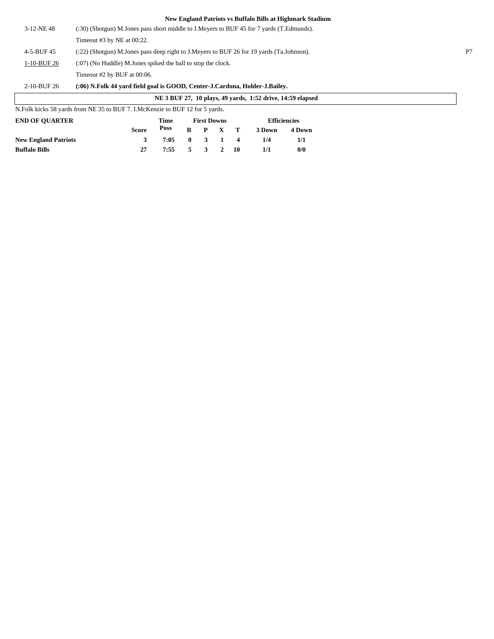| 3-12-NE48   | (:30) (Shotgun) M.Jones pass short middle to J.Meyers to BUF 45 for 7 yards (T.Edmunds). |                |
|-------------|------------------------------------------------------------------------------------------|----------------|
|             | Timeout #3 by NE at $00:22$ .                                                            |                |
| 4-5-BUF 45  | (:22) (Shotgun) M.Jones pass deep right to J.Meyers to BUF 26 for 19 yards (Ta.Johnson). | P <sub>7</sub> |
| 1-10-BUF 26 | $(0.07)$ (No Huddle) M. Jones spiked the ball to stop the clock.                         |                |
|             | Timeout #2 by BUF at 00:06.                                                              |                |
| 2-10-BUF 26 | (:06) N.Folk 44 yard field goal is GOOD, Center-J.Cardona, Holder-J.Bailey.              |                |

|                                                                                |              |      |   |                    |                  | NE 3 BUF 27, 10 plays, 49 yards, 1:52 drive, 14:59 elapsed |        |
|--------------------------------------------------------------------------------|--------------|------|---|--------------------|------------------|------------------------------------------------------------|--------|
| N. Folk kicks 58 yards from NE 35 to BUF 7. I. McKenzie to BUF 12 for 5 yards. |              |      |   |                    |                  |                                                            |        |
| <b>END OF OUARTER</b>                                                          |              | Time |   | <b>First Downs</b> |                  | <b>Efficiencies</b>                                        |        |
|                                                                                | <b>Score</b> | Poss | R | $\mathbf{P}$       | $X$ T            | 3 Down                                                     | 4 Down |
| <b>New England Patriots</b>                                                    |              | 7:05 | 0 |                    | $\boldsymbol{4}$ | 1/4                                                        | 1/1    |
| <b>Buffalo Bills</b>                                                           | 27           | 7:55 |   |                    | 10               | 1/1                                                        | 0/0    |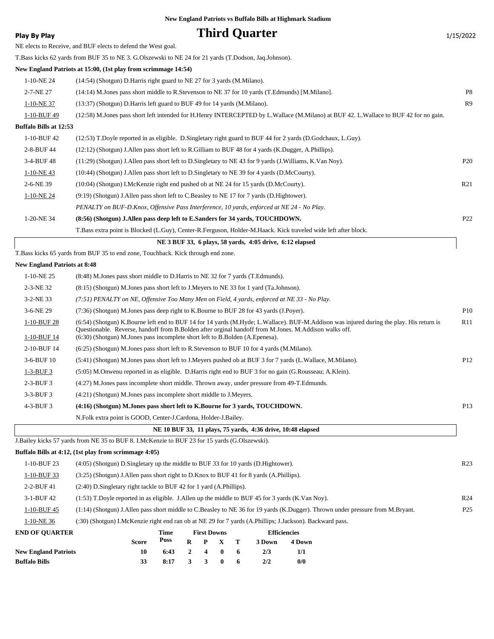### **Play By Play Play Play Play Play By Play Play By Play Play By Play Play Play Play Play Play Play Play Play Play Play Play Play Play Play Play Play Play Play Play Play**

|                                     | NE elects to Receive, and BUF elects to defend the West goal.                                                                                                                                                                                    |                 |
|-------------------------------------|--------------------------------------------------------------------------------------------------------------------------------------------------------------------------------------------------------------------------------------------------|-----------------|
|                                     | T.Bass kicks 62 yards from BUF 35 to NE 3. G.Olszewski to NE 24 for 21 yards (T.Dodson, Jaq.Johnson).                                                                                                                                            |                 |
|                                     | New England Patriots at 15:00, (1st play from scrimmage 14:54)                                                                                                                                                                                   |                 |
| 1-10-NE 24                          | (14:54) (Shotgun) D.Harris right guard to NE 27 for 3 yards (M.Milano).                                                                                                                                                                          |                 |
| 2-7-NE 27                           | (14:14) M.Jones pass short middle to R.Stevenson to NE 37 for 10 yards (T.Edmunds) [M.Milano].                                                                                                                                                   | P8              |
| 1-10-NE 37                          | (13:37) (Shotgun) D. Harris left guard to BUF 49 for 14 yards (M. Milano).                                                                                                                                                                       | R <sub>9</sub>  |
| 1-10-BUF 49                         | (12:58) M.Jones pass short left intended for H.Henry INTERCEPTED by L.Wallace (M.Milano) at BUF 42. L.Wallace to BUF 42 for no gain.                                                                                                             |                 |
| <b>Buffalo Bills at 12:53</b>       |                                                                                                                                                                                                                                                  |                 |
| 1-10-BUF42                          | (12:53) T.Doyle reported in as eligible. D.Singletary right guard to BUF 44 for 2 yards (D.Godchaux, L.Guy).                                                                                                                                     |                 |
| 2-8-BUF 44                          | (12:12) (Shotgun) J. Allen pass short left to R. Gilliam to BUF 48 for 4 yards (K. Dugger, A. Phillips).                                                                                                                                         |                 |
| 3-4-BUF 48                          | (11:29) (Shotgun) J. Allen pass short left to D. Singletary to NE 43 for 9 yards (J. Williams, K. Van Noy).                                                                                                                                      | P <sub>20</sub> |
| 1-10-NE43                           | (10:44) (Shotgun) J. Allen pass short left to D. Singletary to NE 39 for 4 yards (D. McCourty).                                                                                                                                                  |                 |
| 2-6-NE 39                           | (10:04) (Shotgun) I.McKenzie right end pushed ob at NE 24 for 15 yards (D.McCourty).                                                                                                                                                             | R21             |
| 1-10-NE 24                          | (9:19) (Shotgun) J. Allen pass short left to C. Beasley to NE 17 for 7 yards (D. Hightower).                                                                                                                                                     |                 |
|                                     | PENALTY on BUF-D.Knox, Offensive Pass Interference, 10 yards, enforced at NE 24 - No Play.                                                                                                                                                       |                 |
| 1-20-NE 34                          | (8:56) (Shotgun) J. Allen pass deep left to E. Sanders for 34 yards, TOUCHDOWN.                                                                                                                                                                  | P <sub>22</sub> |
|                                     | T.Bass extra point is Blocked (L.Guy), Center-R.Ferguson, Holder-M.Haack. Kick traveled wide left after block.                                                                                                                                   |                 |
|                                     | NE 3 BUF 33, 6 plays, 58 vards, 4:05 drive, 6:12 elapsed                                                                                                                                                                                         |                 |
|                                     | T.Bass kicks 65 yards from BUF 35 to end zone, Touchback. Kick through end zone.                                                                                                                                                                 |                 |
| <b>New England Patriots at 8:48</b> |                                                                                                                                                                                                                                                  |                 |
| 1-10-NE 25                          | (8.48) M. Jones pass short middle to D. Harris to NE 32 for 7 yards (T. Edmunds).                                                                                                                                                                |                 |
| 2-3-NE 32                           | (8.15) (Shotgun) M.Jones pass short left to J.Meyers to NE 33 for 1 yard (Ta.Johnson).                                                                                                                                                           |                 |
| 3-2-NE 33                           | (7:51) PENALTY on NE, Offensive Too Many Men on Field, 4 yards, enforced at NE 33 - No Play.                                                                                                                                                     |                 |
| 3-6-NE 29                           | (7:36) (Shotgun) M.Jones pass deep right to K.Bourne to BUF 28 for 43 yards (J.Poyer).                                                                                                                                                           | <b>P10</b>      |
| 1-10-BUF 28                         | (6:54) (Shotgun) K.Bourne left end to BUF 14 for 14 yards (M.Hyde; L.Wallace). BUF-M.Addison was injured during the play. His return is<br>Questionable. Reverse, handoff from B.Bolden after orginal handoff from M.Jones. M.Addison walks off. | R11             |
| 1-10-BUF 14                         | (6:30) (Shotgun) M.Jones pass incomplete short left to B.Bolden (A.Epenesa).                                                                                                                                                                     |                 |
| 2-10-BUF 14                         | (6:25) (Shotgun) M.Jones pass short left to R.Stevenson to BUF 10 for 4 yards (M.Milano).                                                                                                                                                        |                 |
| 3-6-BUF 10                          | (5:41) (Shotgun) M.Jones pass short left to J.Meyers pushed ob at BUF 3 for 7 yards (L.Wallace, M.Milano).                                                                                                                                       | P <sub>12</sub> |

- 1-3-BUF 3 (5:05) M.Onwenu reported in as eligible. D.Harris right end to BUF 3 for no gain (G.Rousseau; A.Klein). 2-3-BUF 3 (4:27) M.Jones pass incomplete short middle. Thrown away, under pressure from 49-T.Edmunds.
- 3-3-BUF 3 (4:21) (Shotgun) M.Jones pass incomplete short middle to J.Meyers.

| NE 10 BUF 33, 11 plays, 75 yards, 4:36 drive, 10:48 elapsed |                                                                              |     |  |  |  |  |  |
|-------------------------------------------------------------|------------------------------------------------------------------------------|-----|--|--|--|--|--|
|                                                             | N. Folk extra point is GOOD, Center-J. Cardona, Holder-J. Bailey.            |     |  |  |  |  |  |
| $4-3-BUF3$                                                  | (4:16) (Shotgun) M.Jones pass short left to K.Bourne for 3 yards, TOUCHDOWN. | P13 |  |  |  |  |  |
| <i>.</i>                                                    | $(7.21)$ (Dhotgun) M.Jones pass meomprete short imagic to J.Meyers.          |     |  |  |  |  |  |

J.Bailey kicks 57 yards from NE 35 to BUF 8. I.McKenzie to BUF 23 for 15 yards (G.Olszewski).

### **Buffalo Bills at 4:12, (1st play from scrimmage 4:05)**

 $\sqrt{2}$ 

| <b>END OF OUARTER</b> | Time<br><b>First Downs</b>                                                                                                                        | <b>Efficiencies</b> |                 |  |  |  |  |
|-----------------------|---------------------------------------------------------------------------------------------------------------------------------------------------|---------------------|-----------------|--|--|--|--|
| $1-10-NE$ 36          | (:30) (Shotgun) I.McKenzie right end ran ob at NE 29 for 7 yards (A.Phillips; J.Jackson). Backward pass.                                          |                     |                 |  |  |  |  |
| $1-10-BUF45$          | P <sub>25</sub><br>(1:14) (Shotgun) J.Allen pass short middle to C.Beasley to NE 36 for 19 yards (K.Dugger). Thrown under pressure from M.Bryant. |                     |                 |  |  |  |  |
| 3-1-BUF 42            | $(1:53)$ T.Doyle reported in as eligible. J.Allen up the middle to BUF 45 for 3 yards (K.Van Noy).<br>R <sub>24</sub>                             |                     |                 |  |  |  |  |
| 2-2-BUF 41            | (2:40) D.Singletary right tackle to BUF 42 for 1 yard (A.Phillips).                                                                               |                     |                 |  |  |  |  |
| 1-10-BUF 33           | $(3:25)$ (Shotgun) J. Allen pass short right to D. Knox to BUF 41 for 8 yards (A. Phillips).                                                      |                     |                 |  |  |  |  |
| 1-10-BUF 23           | (4:05) (Shotgun) D.Singletary up the middle to BUF 33 for 10 yards (D.Hightower).                                                                 |                     | R <sub>23</sub> |  |  |  |  |

| <b>END OF OUARTER</b>       |              | Time | <b>First Downs</b> |              |                         |    | <b>Efficiencies</b> |        |  |
|-----------------------------|--------------|------|--------------------|--------------|-------------------------|----|---------------------|--------|--|
|                             | <b>Score</b> | Poss |                    |              | $R$ $P$ $X$ $T$         |    | 3 Down              | 4 Down |  |
| <b>New England Patriots</b> | 10           | 6:43 | $\mathbf{2}$       | $4 \quad 0$  |                         | -6 | 2/3                 |        |  |
| <b>Buffalo Bills</b>        | 33           | 8:17 | $\mathbf{3}$       | $\mathbf{3}$ | $\overline{\mathbf{0}}$ | 6  | 2/2                 | 0/0    |  |
|                             |              |      |                    |              |                         |    |                     |        |  |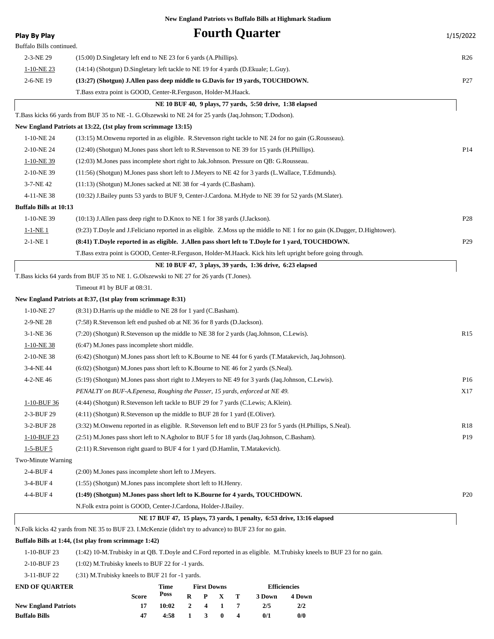| <b>Play By Play</b>           |                                                                                                           |       |              |                    |          |   | <b>Fourth Quarter</b>                                     |                                                                                                                           | 1/15/2022       |
|-------------------------------|-----------------------------------------------------------------------------------------------------------|-------|--------------|--------------------|----------|---|-----------------------------------------------------------|---------------------------------------------------------------------------------------------------------------------------|-----------------|
| Buffalo Bills continued.      |                                                                                                           |       |              |                    |          |   |                                                           |                                                                                                                           |                 |
| 2-3-NE 29                     | $(15:00)$ D. Singletary left end to NE 23 for 6 yards (A. Phillips).                                      |       |              |                    |          |   |                                                           |                                                                                                                           | R <sub>26</sub> |
| $1-10-NE$ 23                  | (14:14) (Shotgun) D.Singletary left tackle to NE 19 for 4 yards (D.Ekuale; L.Guy).                        |       |              |                    |          |   |                                                           |                                                                                                                           |                 |
| 2-6-NE 19                     | (13:27) (Shotgun) J.Allen pass deep middle to G.Davis for 19 yards, TOUCHDOWN.                            |       |              |                    |          |   |                                                           |                                                                                                                           | P <sub>27</sub> |
|                               | T. Bass extra point is GOOD, Center-R. Ferguson, Holder-M. Haack.                                         |       |              |                    |          |   |                                                           |                                                                                                                           |                 |
|                               |                                                                                                           |       |              |                    |          |   | NE 10 BUF 40, 9 plays, 77 yards, 5:50 drive, 1:38 elapsed |                                                                                                                           |                 |
|                               | T.Bass kicks 66 yards from BUF 35 to NE -1. G.Olszewski to NE 24 for 25 yards (Jaq.Johnson; T.Dodson).    |       |              |                    |          |   |                                                           |                                                                                                                           |                 |
|                               | New England Patriots at 13:22, (1st play from scrimmage 13:15)                                            |       |              |                    |          |   |                                                           |                                                                                                                           |                 |
| 1-10-NE 24                    | (13:15) M.Onwenu reported in as eligible. R.Stevenson right tackle to NE 24 for no gain (G.Rousseau).     |       |              |                    |          |   |                                                           |                                                                                                                           |                 |
| 2-10-NE 24                    | (12:40) (Shotgun) M.Jones pass short left to R.Stevenson to NE 39 for 15 yards (H.Phillips).              |       |              |                    |          |   |                                                           |                                                                                                                           | P <sub>14</sub> |
| $1-10-NE$ 39                  | (12:03) M.Jones pass incomplete short right to Jak.Johnson. Pressure on QB: G.Rousseau.                   |       |              |                    |          |   |                                                           |                                                                                                                           |                 |
| 2-10-NE 39                    | (11:56) (Shotgun) M.Jones pass short left to J.Meyers to NE 42 for 3 yards (L.Wallace, T.Edmunds).        |       |              |                    |          |   |                                                           |                                                                                                                           |                 |
| 3-7-NE 42                     | $(11:13)$ (Shotgun) M.Jones sacked at NE 38 for -4 yards (C.Basham).                                      |       |              |                    |          |   |                                                           |                                                                                                                           |                 |
| 4-11-NE 38                    | (10:32) J.Bailey punts 53 yards to BUF 9, Center-J.Cardona. M.Hyde to NE 39 for 52 yards (M.Slater).      |       |              |                    |          |   |                                                           |                                                                                                                           |                 |
| <b>Buffalo Bills at 10:13</b> |                                                                                                           |       |              |                    |          |   |                                                           |                                                                                                                           |                 |
| 1-10-NE 39                    | $(10:13)$ J. Allen pass deep right to D. Knox to NE 1 for 38 yards (J. Jackson).                          |       |              |                    |          |   |                                                           |                                                                                                                           | P <sub>28</sub> |
| $1 - 1 - NE$ 1                |                                                                                                           |       |              |                    |          |   |                                                           | (9:23) T.Doyle and J.Feliciano reported in as eligible. Z.Moss up the middle to NE 1 for no gain (K.Dugger, D.Hightower). |                 |
| $2-1-NE$ 1                    | (8:41) T.Doyle reported in as eligible. J.Allen pass short left to T.Doyle for 1 yard, TOUCHDOWN.         |       |              |                    |          |   |                                                           |                                                                                                                           | P <sub>29</sub> |
|                               |                                                                                                           |       |              |                    |          |   |                                                           | T.Bass extra point is GOOD, Center-R.Ferguson, Holder-M.Haack. Kick hits left upright before going through.               |                 |
|                               |                                                                                                           |       |              |                    |          |   | NE 10 BUF 47, 3 plays, 39 yards, 1:36 drive, 6:23 elapsed |                                                                                                                           |                 |
|                               | T.Bass kicks 64 yards from BUF 35 to NE 1. G.Olszewski to NE 27 for 26 yards (T.Jones).                   |       |              |                    |          |   |                                                           |                                                                                                                           |                 |
|                               | Timeout #1 by BUF at 08:31.                                                                               |       |              |                    |          |   |                                                           |                                                                                                                           |                 |
|                               | New England Patriots at 8:37, (1st play from scrimmage 8:31)                                              |       |              |                    |          |   |                                                           |                                                                                                                           |                 |
| 1-10-NE 27                    | $(8:31)$ D. Harris up the middle to NE 28 for 1 yard $(C.Basham)$ .                                       |       |              |                    |          |   |                                                           |                                                                                                                           |                 |
| 2-9-NE 28                     | (7:58) R.Stevenson left end pushed ob at NE 36 for 8 yards (D.Jackson).                                   |       |              |                    |          |   |                                                           |                                                                                                                           |                 |
| $3-1-NE$ 36                   | (7:20) (Shotgun) R.Stevenson up the middle to NE 38 for 2 yards (Jaq.Johnson, C.Lewis).                   |       |              |                    |          |   |                                                           |                                                                                                                           | R15             |
| $1-10-NE$ 38                  | $(6:47)$ M. Jones pass incomplete short middle.                                                           |       |              |                    |          |   |                                                           |                                                                                                                           |                 |
| 2-10-NE 38                    | (6:42) (Shotgun) M.Jones pass short left to K.Bourne to NE 44 for 6 yards (T.Matakevich, Jaq.Johnson).    |       |              |                    |          |   |                                                           |                                                                                                                           |                 |
| 3-4-NE 44                     | (6:02) (Shotgun) M.Jones pass short left to K.Bourne to NE 46 for 2 yards (S.Neal).                       |       |              |                    |          |   |                                                           |                                                                                                                           |                 |
| 4-2-NE46                      | (5:19) (Shotgun) M.Jones pass short right to J.Meyers to NE 49 for 3 yards (Jaq.Johnson, C.Lewis).        |       |              |                    |          |   |                                                           |                                                                                                                           | P <sub>16</sub> |
|                               | PENALTY on BUF-A. Epenesa, Roughing the Passer, 15 yards, enforced at NE 49.                              |       |              |                    |          |   |                                                           |                                                                                                                           | X17             |
| 1-10-BUF 36                   | (4:44) (Shotgun) R.Stevenson left tackle to BUF 29 for 7 yards (C.Lewis; A.Klein).                        |       |              |                    |          |   |                                                           |                                                                                                                           |                 |
| 2-3-BUF 29                    | $(4:11)$ (Shotgun) R.Stevenson up the middle to BUF 28 for 1 yard (E.Oliver).                             |       |              |                    |          |   |                                                           |                                                                                                                           |                 |
| 3-2-BUF 28                    | (3:32) M.Onwenu reported in as eligible. R.Stevenson left end to BUF 23 for 5 yards (H.Phillips, S.Neal). |       |              |                    |          |   |                                                           |                                                                                                                           | R <sub>18</sub> |
| $1-10-BUF23$                  | (2:51) M.Jones pass short left to N.Agholor to BUF 5 for 18 yards (Jaq.Johnson, C.Basham).                |       |              |                    |          |   |                                                           |                                                                                                                           | P19             |
| $1 - 5 - BUF 5$               | $(2.11)$ R. Stevenson right guard to BUF 4 for 1 yard (D. Hamlin, T. Matakevich).                         |       |              |                    |          |   |                                                           |                                                                                                                           |                 |
| Two-Minute Warning            |                                                                                                           |       |              |                    |          |   |                                                           |                                                                                                                           |                 |
| 2-4-BUF 4                     | (2:00) M. Jones pass incomplete short left to J. Meyers.                                                  |       |              |                    |          |   |                                                           |                                                                                                                           |                 |
| 3-4-BUF 4                     | (1:55) (Shotgun) M.Jones pass incomplete short left to H.Henry.                                           |       |              |                    |          |   |                                                           |                                                                                                                           |                 |
| 4-4-BUF4                      | (1:49) (Shotgun) M.Jones pass short left to K.Bourne for 4 yards, TOUCHDOWN.                              |       |              |                    |          |   |                                                           |                                                                                                                           | P <sub>20</sub> |
|                               | N. Folk extra point is GOOD, Center-J. Cardona, Holder-J. Bailey.                                         |       |              |                    |          |   |                                                           |                                                                                                                           |                 |
|                               |                                                                                                           |       |              |                    |          |   |                                                           | NE 17 BUF 47, 15 plays, 73 yards, 1 penalty, 6:53 drive, 13:16 elapsed                                                    |                 |
|                               | N.Folk kicks 42 yards from NE 35 to BUF 23. I.McKenzie (didn't try to advance) to BUF 23 for no gain.     |       |              |                    |          |   |                                                           |                                                                                                                           |                 |
|                               | Buffalo Bills at 1:44, (1st play from scrimmage 1:42)                                                     |       |              |                    |          |   |                                                           |                                                                                                                           |                 |
| 1-10-BUF 23                   |                                                                                                           |       |              |                    |          |   |                                                           | (1:42) 10-M. Trubisky in at QB. T. Doyle and C. Ford reported in as eligible. M. Trubisky kneels to BUF 23 for no gain.   |                 |
| 2-10-BUF 23                   | (1:02) M.Trubisky kneels to BUF 22 for -1 yards.                                                          |       |              |                    |          |   |                                                           |                                                                                                                           |                 |
| 3-11-BUF 22                   | $(31)$ M. Trubisky kneels to BUF 21 for -1 yards.                                                         |       |              |                    |          |   |                                                           |                                                                                                                           |                 |
| <b>END OF QUARTER</b>         |                                                                                                           | Time  |              | <b>First Downs</b> |          |   |                                                           | <b>Efficiencies</b>                                                                                                       |                 |
|                               | Score                                                                                                     | Poss  | R            | P                  | X        | т | 3 Down                                                    | 4 Down                                                                                                                    |                 |
| <b>New England Patriots</b>   | 17                                                                                                        | 10:02 | $\mathbf{2}$ | 4                  | 1        | 7 | 2/5                                                       | 2/2                                                                                                                       |                 |
| <b>Buffalo Bills</b>          | 47                                                                                                        | 4:58  | $\mathbf{1}$ | 3                  | $\bf{0}$ | 4 | 0/1                                                       | 0/0                                                                                                                       |                 |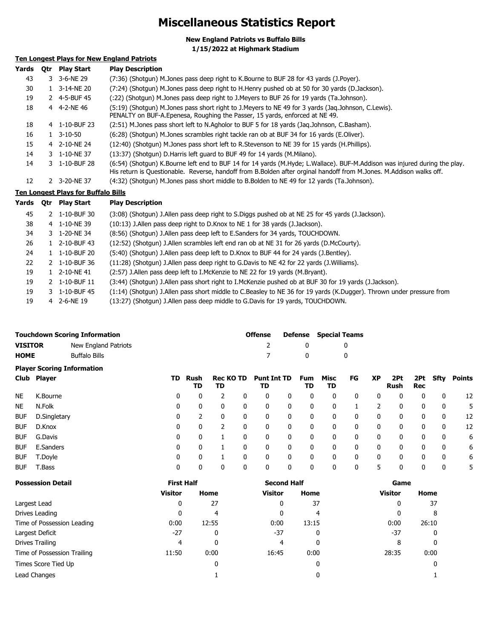### **Miscellaneous Statistics Report**

**New England Patriots vs Buffalo Bills**

**1/15/2022 at Highmark Stadium**

### **Ten Longest Plays for New England Patriots**

| Yards | 0tr | <b>Play Start</b>                   | <b>Play Description</b>                                                                                                                                                                                                                          |
|-------|-----|-------------------------------------|--------------------------------------------------------------------------------------------------------------------------------------------------------------------------------------------------------------------------------------------------|
| 43    |     | 3 3-6-NE 29                         | (7:36) (Shotgun) M.Jones pass deep right to K.Bourne to BUF 28 for 43 yards (J.Poyer).                                                                                                                                                           |
| 30    |     | 1 3-14-NE 20                        | (7:24) (Shotgun) M.Jones pass deep right to H.Henry pushed ob at 50 for 30 yards (D.Jackson).                                                                                                                                                    |
| 19    |     | 2 4-5-BUF 45                        | (:22) (Shotqun) M.Jones pass deep right to J.Meyers to BUF 26 for 19 yards (Ta.Johnson).                                                                                                                                                         |
| 18    |     | 4 4-2-NE46                          | (5:19) (Shotgun) M.Jones pass short right to J.Meyers to NE 49 for 3 yards (Jag.Johnson, C.Lewis).<br>PENALTY on BUF-A. Epenesa, Roughing the Passer, 15 yards, enforced at NE 49.                                                               |
| 18    |     | 4 1-10-BUF 23                       | (2:51) M.Jones pass short left to N.Agholor to BUF 5 for 18 yards (Jag.Johnson, C.Basham).                                                                                                                                                       |
| 16    |     | 1 3-10-50                           | (6:28) (Shotgun) M.Jones scrambles right tackle ran ob at BUF 34 for 16 yards (E.Oliver).                                                                                                                                                        |
| 15    |     | 4 2-10-NE 24                        | (12:40) (Shotgun) M.Jones pass short left to R.Stevenson to NE 39 for 15 yards (H.Phillips).                                                                                                                                                     |
| 14    |     | 3 1-10-NE 37                        | (13:37) (Shotqun) D.Harris left quard to BUF 49 for 14 yards (M.Milano).                                                                                                                                                                         |
| 14    |     | 3 1-10-BUF 28                       | (6:54) (Shotgun) K.Bourne left end to BUF 14 for 14 yards (M.Hyde; L.Wallace). BUF-M.Addison was injured during the play.<br>His return is Questionable. Reverse, handoff from B.Bolden after orginal handoff from M.Jones. M.Addison walks off. |
| 12    |     | 2 3-20-NE 37                        | (4:32) (Shotgun) M.Jones pass short middle to B.Bolden to NE 49 for 12 yards (Ta.Johnson).                                                                                                                                                       |
|       |     | Ten Longest Plays for Buffalo Bills |                                                                                                                                                                                                                                                  |

#### **Ten Longest Plays for Buffalo Bills**

| Yards | <b>Otr</b> | <b>Play Start</b> | <b>Play Description</b>                                                                                              |
|-------|------------|-------------------|----------------------------------------------------------------------------------------------------------------------|
| 45    | 2          | 1-10-BUF 30       | (3:08) (Shotgun) J.Allen pass deep right to S.Diggs pushed ob at NE 25 for 45 yards (J.Jackson).                     |
| 38    |            | 4 1-10-NE 39      | (10:13) J.Allen pass deep right to D.Knox to NE 1 for 38 yards (J.Jackson).                                          |
| 34    |            | 3 1-20-NE 34      | (8:56) (Shotgun) J. Allen pass deep left to E. Sanders for 34 yards, TOUCHDOWN.                                      |
| 26    |            | 2-10-BUF 43       | (12:52) (Shotgun) J.Allen scrambles left end ran ob at NE 31 for 26 yards (D.McCourty).                              |
| 24    | 1.         | 1-10-BUF 20       | (5:40) (Shotgun) J.Allen pass deep left to D.Knox to BUF 44 for 24 yards (J.Bentley).                                |
| 22    | 2          | 1-10-BUF 36       | (11:28) (Shotgun) J.Allen pass deep right to G.Davis to NE 42 for 22 yards (J.Williams).                             |
| 19    | 1.         | 2-10-NE 41        | (2:57) J.Allen pass deep left to I.McKenzie to NE 22 for 19 yards (M.Bryant).                                        |
| 19    |            | 2 1-10-BUF 11     | (3:44) (Shotgun) J.Allen pass short right to I.McKenzie pushed ob at BUF 30 for 19 yards (J.Jackson).                |
| 19    |            | 3 1-10-BUF 45     | (1:14) (Shotgun) J.Allen pass short middle to C.Beasley to NE 36 for 19 yards (K.Dugger). Thrown under pressure from |
| 19    |            | 4 2-6-NE 19       | (13:27) (Shotgun) J.Allen pass deep middle to G.Davis for 19 yards, TOUCHDOWN.                                       |

| <b>Touchdown Scoring Information</b> |                      | <b>Offense</b> | <b>Defense</b> Special Teams |
|--------------------------------------|----------------------|----------------|------------------------------|
| <b>VISITOR</b>                       | New England Patriots |                |                              |
| <b>HOME</b>                          | Buffalo Bills        |                |                              |

|            | <b>Player Scoring Information</b> |    |            |                        |   |                          |   |           |            |    |           |                    |            |      |        |
|------------|-----------------------------------|----|------------|------------------------|---|--------------------------|---|-----------|------------|----|-----------|--------------------|------------|------|--------|
|            | Club Player                       | TD | Rush<br>TD | <b>Rec KO TD</b><br>TD |   | <b>Punt Int TD</b><br>TD |   | Fum<br>TD | Misc<br>TD | FG | <b>XP</b> | 2Pt<br><b>Rush</b> | 2Pt<br>Rec | Sfty | Points |
| <b>NE</b>  | K.Bourne                          | 0  | 0          |                        | 0 | 0                        | 0 | 0         | 0          | 0  | 0         | 0                  | 0          | 0    | 12     |
| <b>NE</b>  | N.Folk                            | 0  | 0          |                        | 0 | 0                        | 0 | 0         | 0          |    | າ         |                    | 0          | 0    | 5.     |
| <b>BUF</b> | D.Singletary                      | 0  | ר.         |                        | 0 | 0                        | 0 | 0         | 0          | 0  | 0         | 0                  | 0          | 0    | 12     |
| <b>BUF</b> | D.Knox                            | 0  | 0          |                        |   | 0                        | 0 | 0         | 0          | 0  | 0         | 0                  | 0          | 0    | 12     |
| <b>BUF</b> | G.Davis                           | 0  | 0          |                        | 0 | 0                        | 0 | 0         | 0          | 0  | 0         | 0                  | 0          | 0    | 6      |
| <b>BUF</b> | E.Sanders                         | 0  | 0          |                        |   | 0                        | 0 | 0         | 0          | 0  | 0         | 0                  | 0          | 0    | 6      |
| <b>BUF</b> | T.Doyle                           | 0  | 0          |                        |   | 0                        | 0 | 0         | 0          | 0  | 0         |                    | 0          | 0    | 6      |
| <b>BUF</b> | T.Bass                            | 0  | 0          |                        | 0 | 0                        | 0 | 0         | 0          | 0  | 5         |                    | 0          | 0    | 5      |

| <b>Possession Detail</b>    | <b>First Half</b> |       | <b>Second Half</b> |       | Game           |       |  |
|-----------------------------|-------------------|-------|--------------------|-------|----------------|-------|--|
|                             | <b>Visitor</b>    | Home  | <b>Visitor</b>     | Home  | <b>Visitor</b> | Home  |  |
| Largest Lead                | 0                 | 27    | 0                  | 37    | 0              | 37    |  |
| Drives Leading              | 0                 | 4     | 0                  | 4     | 0              | 8     |  |
| Time of Possession Leading  | 0:00              | 12:55 | 0:00               | 13:15 | 0:00           | 26:10 |  |
| Largest Deficit             | $-27$             | 0     | $-37$              | 0     | $-37$          | 0     |  |
| Drives Trailing             | 4                 | 0     | 4                  | 0     | 8              | 0     |  |
| Time of Possession Trailing | 11:50             | 0:00  | 16:45              | 0:00  | 28:35          | 0:00  |  |
| Times Score Tied Up         |                   | 0     |                    | 0     |                |       |  |
| Lead Changes                |                   |       |                    | 0     |                |       |  |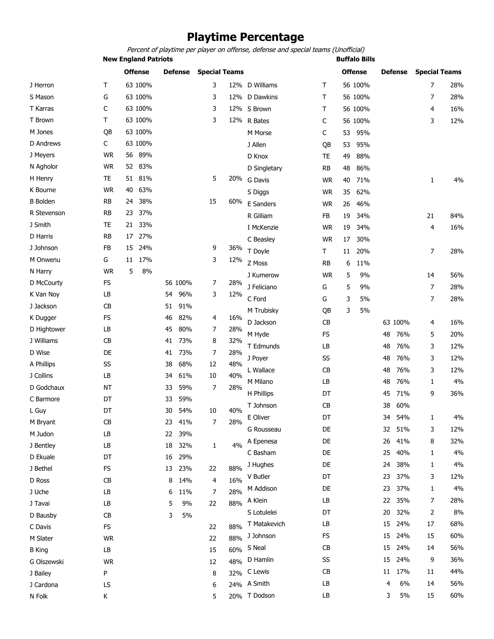### **Playtime Percentage**

Percent of playtime per player on offense, defense and special teams (Unofficial)

**New England Patriots Buffalo Bills** 

|                 |           |    | <b>Offense</b> |    | <b>Defense</b> | <b>Special Teams</b> |     |                |           |    | <b>Offense</b> |    | <b>Defense</b> | <b>Special Teams</b> |     |
|-----------------|-----------|----|----------------|----|----------------|----------------------|-----|----------------|-----------|----|----------------|----|----------------|----------------------|-----|
| J Herron        | т         |    | 63 100%        |    |                | 3                    |     | 12% D Williams | Τ         |    | 56 100%        |    |                | 7                    | 28% |
| S Mason         | G         |    | 63 100%        |    |                | 3                    |     | 12% D Dawkins  | Τ         |    | 56 100%        |    |                | 7                    | 28% |
| T Karras        | C         |    | 63 100%        |    |                | 3                    |     | 12% S Brown    | т         |    | 56 100%        |    |                | 4                    | 16% |
| T Brown         | Τ         |    | 63 100%        |    |                | 3                    |     | 12% R Bates    | C         |    | 56 100%        |    |                | 3                    | 12% |
| M Jones         | QB        |    | 63 100%        |    |                |                      |     | M Morse        | С         | 53 | 95%            |    |                |                      |     |
| D Andrews       | C         |    | 63 100%        |    |                |                      |     | J Allen        | QB        | 53 | 95%            |    |                |                      |     |
| J Meyers        | <b>WR</b> | 56 | 89%            |    |                |                      |     | D Knox         | <b>TE</b> | 49 | 88%            |    |                |                      |     |
| N Agholor       | <b>WR</b> | 52 | 83%            |    |                |                      |     | D Singletary   | RB        | 48 | 86%            |    |                |                      |     |
| H Henry         | TE        |    | 51 81%         |    |                | 5                    | 20% | G Davis        | <b>WR</b> | 40 | 71%            |    |                | $\mathbf{1}$         | 4%  |
| K Bourne        | <b>WR</b> | 40 | 63%            |    |                |                      |     | S Diggs        | <b>WR</b> | 35 | 62%            |    |                |                      |     |
| <b>B</b> Bolden | <b>RB</b> | 24 | 38%            |    |                | 15                   | 60% | E Sanders      | <b>WR</b> | 26 | 46%            |    |                |                      |     |
| R Stevenson     | <b>RB</b> | 23 | 37%            |    |                |                      |     | R Gilliam      | FB        | 19 | 34%            |    |                | 21                   | 84% |
| J Smith         | TE        | 21 | 33%            |    |                |                      |     | I McKenzie     | <b>WR</b> | 19 | 34%            |    |                | 4                    | 16% |
| D Harris        | RB        | 17 | 27%            |    |                |                      |     | C Beasley      | <b>WR</b> | 17 | 30%            |    |                |                      |     |
| J Johnson       | FB        | 15 | 24%            |    |                | 9                    | 36% | T Doyle        | т         | 11 | 20%            |    |                | 7                    | 28% |
| M Onwenu        | G         | 11 | 17%            |    |                | 3                    | 12% | Z Moss         | <b>RB</b> | 6  | 11%            |    |                |                      |     |
| N Harry         | <b>WR</b> | 5  | 8%             |    |                |                      |     | J Kumerow      | <b>WR</b> | 5  | 9%             |    |                | 14                   | 56% |
| D McCourty      | <b>FS</b> |    |                |    | 56 100%        | 7                    | 28% | J Feliciano    | G         | 5  | 9%             |    |                | $\overline{7}$       | 28% |
| K Van Nov       | LB        |    |                | 54 | 96%            | 3                    | 12% | C Ford         | G         | 3  | 5%             |    |                | 7                    | 28% |
| J Jackson       | CB        |    |                | 51 | 91%            |                      |     | M Trubisky     | QB        | 3  | 5%             |    |                |                      |     |
| K Dugger        | <b>FS</b> |    |                | 46 | 82%            | 4                    | 16% | D Jackson      | CB        |    |                |    | 63 100%        | 4                    | 16% |
| D Hightower     | LB        |    |                | 45 | 80%            | 7                    | 28% | M Hyde         | <b>FS</b> |    |                | 48 | 76%            | 5                    | 20% |
| J Williams      | CB        |    |                | 41 | 73%            | 8                    | 32% | T Edmunds      | LB        |    |                | 48 | 76%            | 3                    | 12% |
| D Wise          | DE        |    |                | 41 | 73%            | 7                    | 28% | J Poyer        | SS        |    |                | 48 | 76%            | 3                    | 12% |
| A Phillips      | SS        |    |                | 38 | 68%            | 12                   | 48% | L Wallace      | CB        |    |                | 48 | 76%            | 3                    | 12% |
| J Collins       | LB        |    |                | 34 | 61%            | 10                   | 40% | M Milano       | LB        |    |                |    | 76%            |                      | 4%  |
| D Godchaux      | <b>NT</b> |    |                | 33 | 59%            | 7                    | 28% |                |           |    |                | 48 |                | 1                    |     |
| C Barmore       | DT        |    |                | 33 | 59%            |                      |     | H Phillips     | DT        |    |                | 45 | 71%            | 9                    | 36% |
| L Guy           | DT        |    |                | 30 | 54%            | 10                   | 40% | T Johnson      | <b>CB</b> |    |                | 38 | 60%            |                      |     |
| M Bryant        | CB        |    |                | 23 | 41%            | 7                    | 28% | E Oliver       | DT        |    |                | 34 | 54%            | 1                    | 4%  |
| M Judon         | LB        |    |                | 22 | 39%            |                      |     | G Rousseau     | DE        |    |                | 32 | 51%            | 3                    | 12% |
| J Bentley       | LB        |    |                | 18 | 32%            | 1                    | 4%  | A Epenesa      | DE        |    |                | 26 | 41%            | 8                    | 32% |
| D Ekuale        | DT        |    |                | 16 | 29%            |                      |     | C Basham       | DE        |    |                | 25 | 40%            | 1                    | 4%  |
| J Bethel        | <b>FS</b> |    |                |    | 13 23%         | 22                   | 88% | J Hughes       | DE        |    |                | 24 | 38%            | 1                    | 4%  |
| D Ross          | CB        |    |                | 8  | 14%            | 4                    | 16% | V Butler       | DT        |    |                | 23 | 37%            | 3                    | 12% |
| J Uche          | LB        |    |                | 6  | 11%            | 7                    | 28% | M Addison      | DE        |    |                | 23 | 37%            | 1                    | 4%  |
| J Tavai         | LB        |    |                | 5  | 9%             | 22                   | 88% | A Klein        | LB        |    |                | 22 | 35%            | 7                    | 28% |
| D Bausby        | CB        |    |                | 3  | 5%             |                      |     | S Lotulelei    | DT        |    |                | 20 | 32%            | 2                    | 8%  |
| C Davis         | FS        |    |                |    |                | 22                   | 88% | T Matakevich   | LB        |    |                | 15 | 24%            | 17                   | 68% |
| M Slater        | <b>WR</b> |    |                |    |                | 22                   | 88% | J Johnson      | FS        |    |                | 15 | 24%            | 15                   | 60% |
| <b>B</b> King   | LB        |    |                |    |                | 15                   | 60% | S Neal         | CB        |    |                | 15 | 24%            | 14                   | 56% |
| G Olszewski     | <b>WR</b> |    |                |    |                | 12                   | 48% | D Hamlin       | SS        |    |                | 15 | 24%            | 9                    | 36% |
| J Bailey        | P         |    |                |    |                | 8                    |     | 32% C Lewis    | CB        |    |                | 11 | 17%            | 11                   | 44% |
| J Cardona       | LS        |    |                |    |                | 6                    |     | 24% A Smith    | LB        |    |                | 4  | 6%             | 14                   | 56% |
| N Folk          | K         |    |                |    |                | 5                    |     | 20% T Dodson   | LB        |    |                | 3  | 5%             | 15                   | 60% |